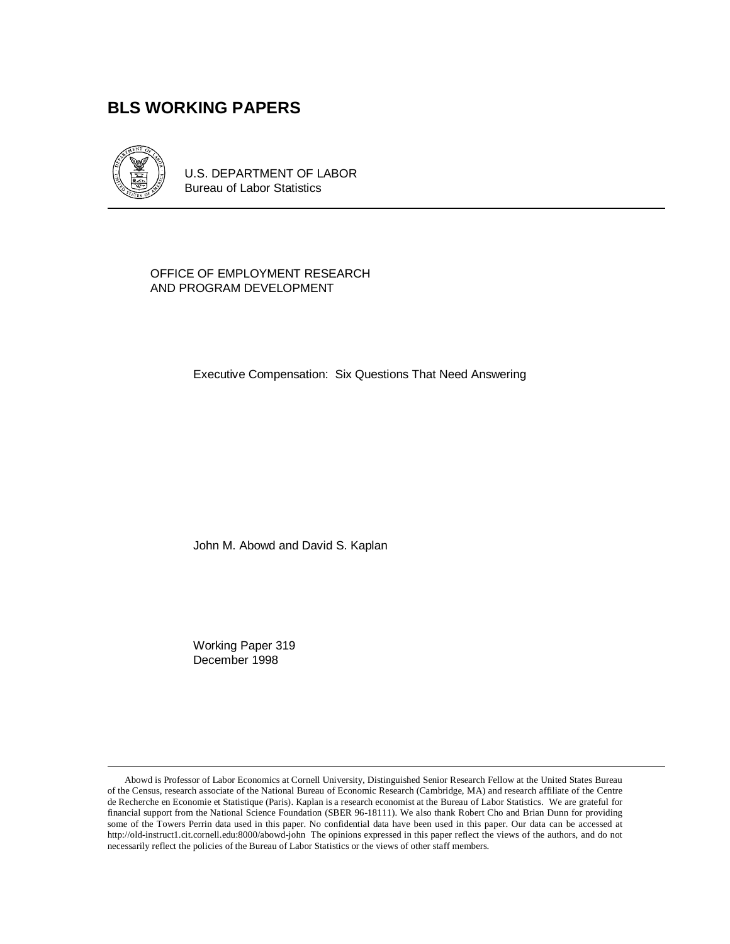# **BLS WORKING PAPERS**



U.S. DEPARTMENT OF LABOR Bureau of Labor Statistics

#### OFFICE OF EMPLOYMENT RESEARCH AND PROGRAM DEVELOPMENT

Executive Compensation: Six Questions That Need Answering

John M. Abowd and David S. Kaplan

Working Paper 319 December 1998

Abowd is Professor of Labor Economics at Cornell University, Distinguished Senior Research Fellow at the United States Bureau of the Census, research associate of the National Bureau of Economic Research (Cambridge, MA) and research affiliate of the Centre de Recherche en Economie et Statistique (Paris). Kaplan is a research economist at the Bureau of Labor Statistics. We are grateful for financial support from the National Science Foundation (SBER 96-18111). We also thank Robert Cho and Brian Dunn for providing some of the Towers Perrin data used in this paper. No confidential data have been used in this paper. Our data can be accessed at http://old-instruct1.cit.cornell.edu:8000/abowd-john The opinions expressed in this paper reflect the views of the authors, and do not necessarily reflect the policies of the Bureau of Labor Statistics or the views of other staff members.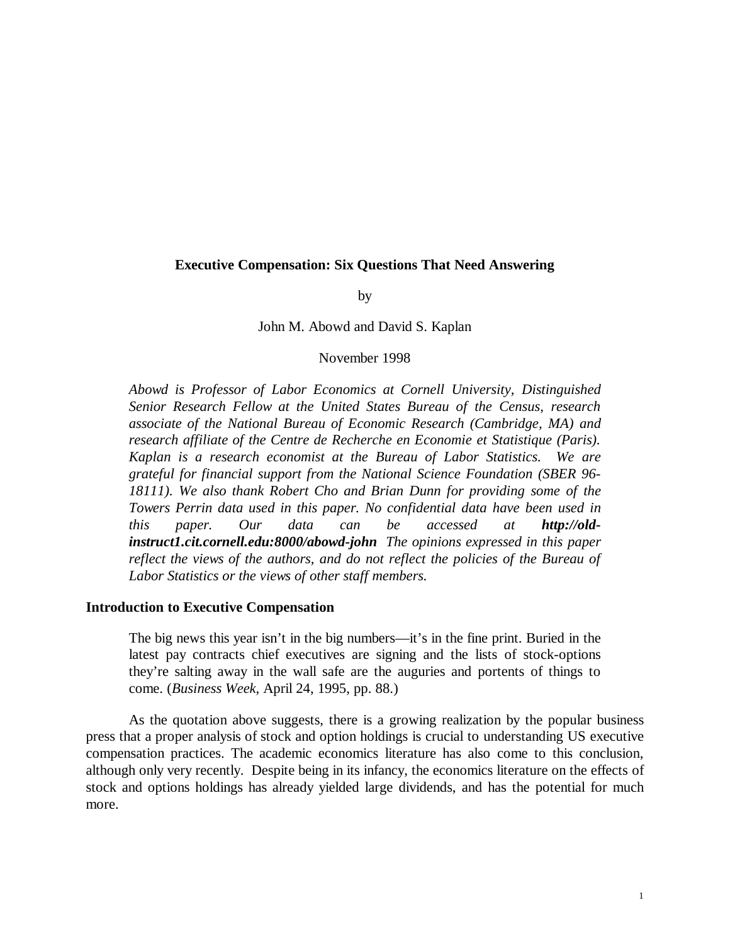## **Executive Compensation: Six Questions That Need Answering**

by

#### John M. Abowd and David S. Kaplan

#### November 1998

*Abowd is Professor of Labor Economics at Cornell University, Distinguished Senior Research Fellow at the United States Bureau of the Census, research associate of the National Bureau of Economic Research (Cambridge, MA) and research affiliate of the Centre de Recherche en Economie et Statistique (Paris). Kaplan is a research economist at the Bureau of Labor Statistics. We are grateful for financial support from the National Science Foundation (SBER 96- 18111). We also thank Robert Cho and Brian Dunn for providing some of the Towers Perrin data used in this paper. No confidential data have been used in this paper. Our data can be accessed at http://oldinstruct1.cit.cornell.edu:8000/abowd-john The opinions expressed in this paper reflect the views of the authors, and do not reflect the policies of the Bureau of Labor Statistics or the views of other staff members.*

#### **Introduction to Executive Compensation**

The big news this year isn't in the big numbers—it's in the fine print. Buried in the latest pay contracts chief executives are signing and the lists of stock-options they're salting away in the wall safe are the auguries and portents of things to come. (*Business Week*, April 24, 1995, pp. 88.)

As the quotation above suggests, there is a growing realization by the popular business press that a proper analysis of stock and option holdings is crucial to understanding US executive compensation practices. The academic economics literature has also come to this conclusion, although only very recently. Despite being in its infancy, the economics literature on the effects of stock and options holdings has already yielded large dividends, and has the potential for much more.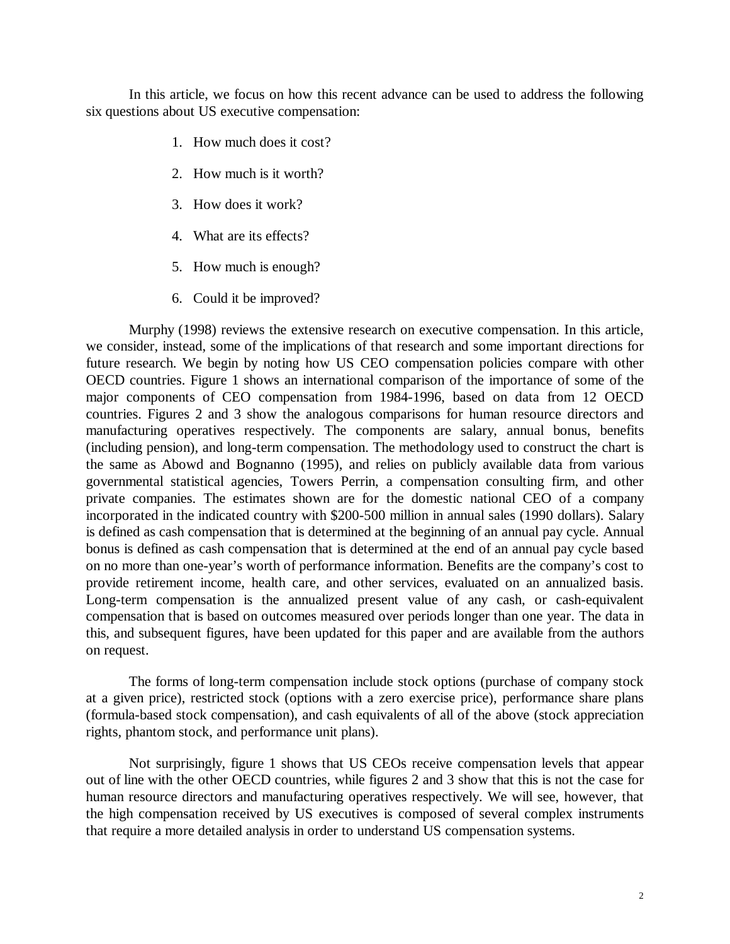In this article, we focus on how this recent advance can be used to address the following six questions about US executive compensation:

- 1. How much does it cost?
- 2. How much is it worth?
- 3. How does it work?
- 4. What are its effects?
- 5. How much is enough?
- 6. Could it be improved?

Murphy (1998) reviews the extensive research on executive compensation. In this article, we consider, instead, some of the implications of that research and some important directions for future research. We begin by noting how US CEO compensation policies compare with other OECD countries. Figure 1 shows an international comparison of the importance of some of the major components of CEO compensation from 1984-1996, based on data from 12 OECD countries. Figures 2 and 3 show the analogous comparisons for human resource directors and manufacturing operatives respectively. The components are salary, annual bonus, benefits (including pension), and long-term compensation. The methodology used to construct the chart is the same as Abowd and Bognanno (1995), and relies on publicly available data from various governmental statistical agencies, Towers Perrin, a compensation consulting firm, and other private companies. The estimates shown are for the domestic national CEO of a company incorporated in the indicated country with \$200-500 million in annual sales (1990 dollars). Salary is defined as cash compensation that is determined at the beginning of an annual pay cycle. Annual bonus is defined as cash compensation that is determined at the end of an annual pay cycle based on no more than one-year's worth of performance information. Benefits are the company's cost to provide retirement income, health care, and other services, evaluated on an annualized basis. Long-term compensation is the annualized present value of any cash, or cash-equivalent compensation that is based on outcomes measured over periods longer than one year. The data in this, and subsequent figures, have been updated for this paper and are available from the authors on request.

The forms of long-term compensation include stock options (purchase of company stock at a given price), restricted stock (options with a zero exercise price), performance share plans (formula-based stock compensation), and cash equivalents of all of the above (stock appreciation rights, phantom stock, and performance unit plans).

Not surprisingly, figure 1 shows that US CEOs receive compensation levels that appear out of line with the other OECD countries, while figures 2 and 3 show that this is not the case for human resource directors and manufacturing operatives respectively. We will see, however, that the high compensation received by US executives is composed of several complex instruments that require a more detailed analysis in order to understand US compensation systems.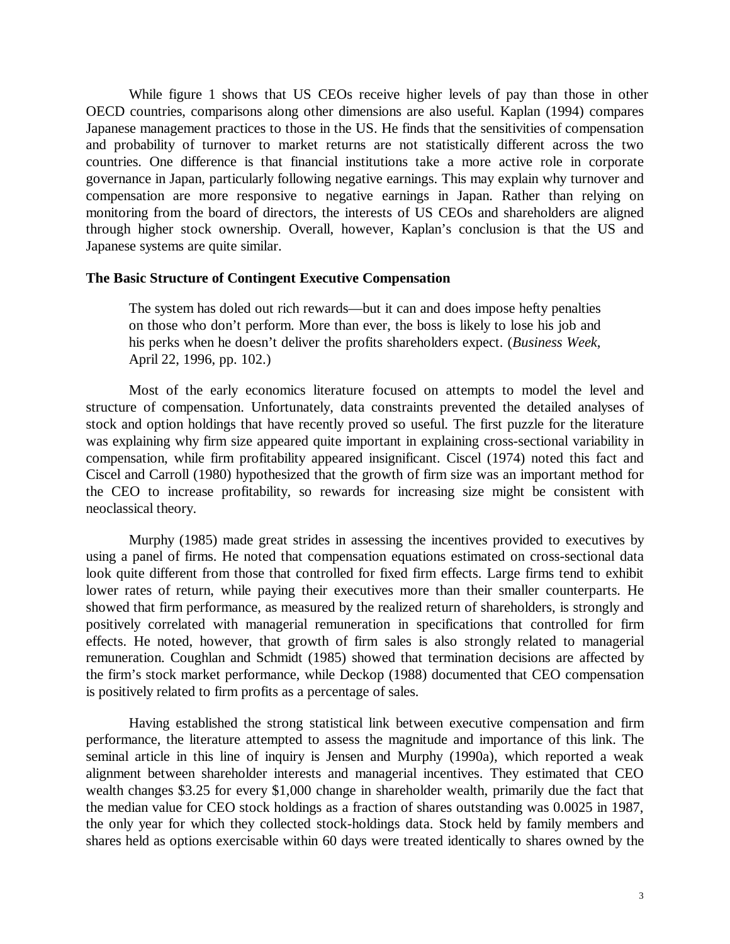While figure 1 shows that US CEOs receive higher levels of pay than those in other OECD countries, comparisons along other dimensions are also useful. Kaplan (1994) compares Japanese management practices to those in the US. He finds that the sensitivities of compensation and probability of turnover to market returns are not statistically different across the two countries. One difference is that financial institutions take a more active role in corporate governance in Japan, particularly following negative earnings. This may explain why turnover and compensation are more responsive to negative earnings in Japan. Rather than relying on monitoring from the board of directors, the interests of US CEOs and shareholders are aligned through higher stock ownership. Overall, however, Kaplan's conclusion is that the US and Japanese systems are quite similar.

#### **The Basic Structure of Contingent Executive Compensation**

The system has doled out rich rewards—but it can and does impose hefty penalties on those who don't perform. More than ever, the boss is likely to lose his job and his perks when he doesn't deliver the profits shareholders expect. (*Business Week*, April 22, 1996, pp. 102.)

Most of the early economics literature focused on attempts to model the level and structure of compensation. Unfortunately, data constraints prevented the detailed analyses of stock and option holdings that have recently proved so useful. The first puzzle for the literature was explaining why firm size appeared quite important in explaining cross-sectional variability in compensation, while firm profitability appeared insignificant. Ciscel (1974) noted this fact and Ciscel and Carroll (1980) hypothesized that the growth of firm size was an important method for the CEO to increase profitability, so rewards for increasing size might be consistent with neoclassical theory.

Murphy (1985) made great strides in assessing the incentives provided to executives by using a panel of firms. He noted that compensation equations estimated on cross-sectional data look quite different from those that controlled for fixed firm effects. Large firms tend to exhibit lower rates of return, while paying their executives more than their smaller counterparts. He showed that firm performance, as measured by the realized return of shareholders, is strongly and positively correlated with managerial remuneration in specifications that controlled for firm effects. He noted, however, that growth of firm sales is also strongly related to managerial remuneration. Coughlan and Schmidt (1985) showed that termination decisions are affected by the firm's stock market performance, while Deckop (1988) documented that CEO compensation is positively related to firm profits as a percentage of sales.

Having established the strong statistical link between executive compensation and firm performance, the literature attempted to assess the magnitude and importance of this link. The seminal article in this line of inquiry is Jensen and Murphy (1990a), which reported a weak alignment between shareholder interests and managerial incentives. They estimated that CEO wealth changes \$3.25 for every \$1,000 change in shareholder wealth, primarily due the fact that the median value for CEO stock holdings as a fraction of shares outstanding was 0.0025 in 1987, the only year for which they collected stock-holdings data. Stock held by family members and shares held as options exercisable within 60 days were treated identically to shares owned by the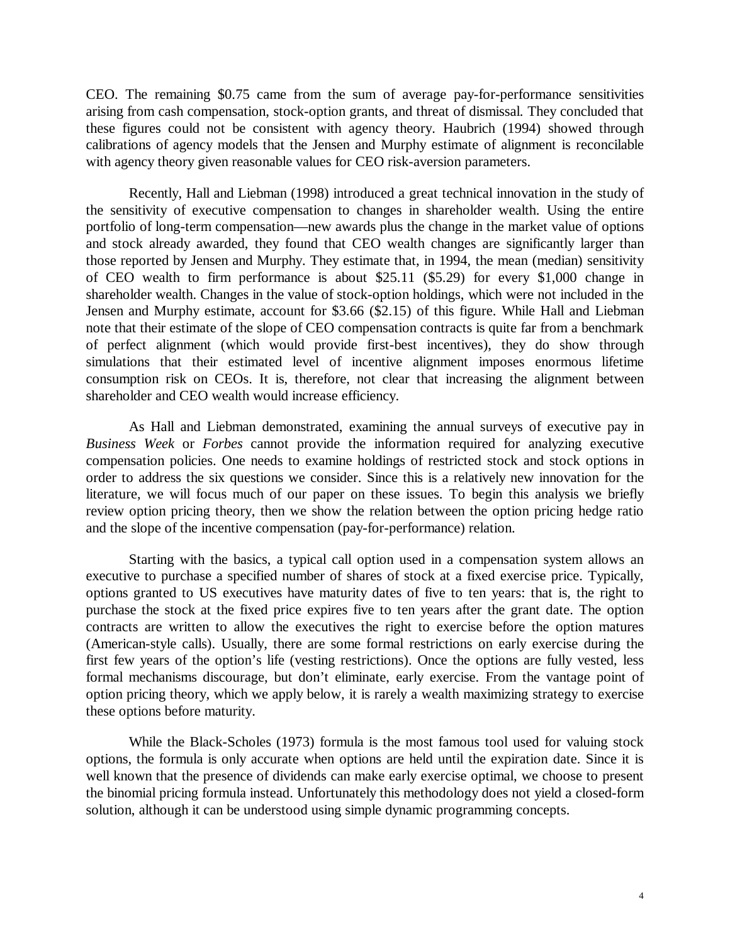CEO. The remaining \$0.75 came from the sum of average pay-for-performance sensitivities arising from cash compensation, stock-option grants, and threat of dismissal. They concluded that these figures could not be consistent with agency theory. Haubrich (1994) showed through calibrations of agency models that the Jensen and Murphy estimate of alignment is reconcilable with agency theory given reasonable values for CEO risk-aversion parameters.

Recently, Hall and Liebman (1998) introduced a great technical innovation in the study of the sensitivity of executive compensation to changes in shareholder wealth. Using the entire portfolio of long-term compensation—new awards plus the change in the market value of options and stock already awarded, they found that CEO wealth changes are significantly larger than those reported by Jensen and Murphy. They estimate that, in 1994, the mean (median) sensitivity of CEO wealth to firm performance is about \$25.11 (\$5.29) for every \$1,000 change in shareholder wealth. Changes in the value of stock-option holdings, which were not included in the Jensen and Murphy estimate, account for \$3.66 (\$2.15) of this figure. While Hall and Liebman note that their estimate of the slope of CEO compensation contracts is quite far from a benchmark of perfect alignment (which would provide first-best incentives), they do show through simulations that their estimated level of incentive alignment imposes enormous lifetime consumption risk on CEOs. It is, therefore, not clear that increasing the alignment between shareholder and CEO wealth would increase efficiency.

As Hall and Liebman demonstrated, examining the annual surveys of executive pay in *Business Week* or *Forbes* cannot provide the information required for analyzing executive compensation policies. One needs to examine holdings of restricted stock and stock options in order to address the six questions we consider. Since this is a relatively new innovation for the literature, we will focus much of our paper on these issues. To begin this analysis we briefly review option pricing theory, then we show the relation between the option pricing hedge ratio and the slope of the incentive compensation (pay-for-performance) relation.

Starting with the basics, a typical call option used in a compensation system allows an executive to purchase a specified number of shares of stock at a fixed exercise price. Typically, options granted to US executives have maturity dates of five to ten years: that is, the right to purchase the stock at the fixed price expires five to ten years after the grant date. The option contracts are written to allow the executives the right to exercise before the option matures (American-style calls). Usually, there are some formal restrictions on early exercise during the first few years of the option's life (vesting restrictions). Once the options are fully vested, less formal mechanisms discourage, but don't eliminate, early exercise. From the vantage point of option pricing theory, which we apply below, it is rarely a wealth maximizing strategy to exercise these options before maturity.

While the Black-Scholes (1973) formula is the most famous tool used for valuing stock options, the formula is only accurate when options are held until the expiration date. Since it is well known that the presence of dividends can make early exercise optimal, we choose to present the binomial pricing formula instead. Unfortunately this methodology does not yield a closed-form solution, although it can be understood using simple dynamic programming concepts.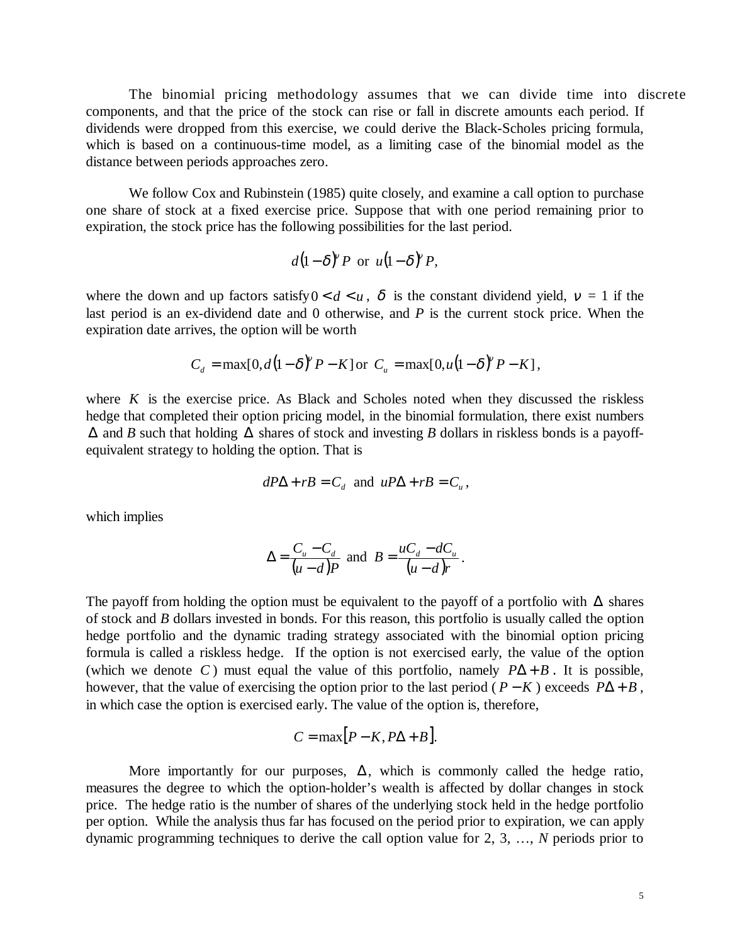The binomial pricing methodology assumes that we can divide time into discrete components, and that the price of the stock can rise or fall in discrete amounts each period. If dividends were dropped from this exercise, we could derive the Black-Scholes pricing formula, which is based on a continuous-time model, as a limiting case of the binomial model as the distance between periods approaches zero.

We follow Cox and Rubinstein (1985) quite closely, and examine a call option to purchase one share of stock at a fixed exercise price. Suppose that with one period remaining prior to expiration, the stock price has the following possibilities for the last period.

$$
d(1-\delta)^{v} P
$$
 or  $u(1-\delta)^{v} P$ ,

where the down and up factors satisfy  $0 < d < u$ ,  $\delta$  is the constant dividend yield,  $v = 1$  if the last period is an ex-dividend date and 0 otherwise, and *P* is the current stock price. When the expiration date arrives, the option will be worth

$$
C_d = \max[0, d(1-\delta)^{\nu} P - K] \text{ or } C_u = \max[0, u(1-\delta)^{\nu} P - K],
$$

where  $K$  is the exercise price. As Black and Scholes noted when they discussed the riskless hedge that completed their option pricing model, in the binomial formulation, there exist numbers ∆ and *B* such that holding ∆ shares of stock and investing *B* dollars in riskless bonds is a payoffequivalent strategy to holding the option. That is

$$
dP\Delta + rB = C_d \text{ and } uP\Delta + rB = C_u,
$$

which implies

$$
\Delta = \frac{C_u - C_d}{(u - d)P} \text{ and } B = \frac{uC_d - dC_u}{(u - d)r}.
$$

The payoff from holding the option must be equivalent to the payoff of a portfolio with  $\Delta$  shares of stock and *B* dollars invested in bonds. For this reason, this portfolio is usually called the option hedge portfolio and the dynamic trading strategy associated with the binomial option pricing formula is called a riskless hedge. If the option is not exercised early, the value of the option (which we denote *C*) must equal the value of this portfolio, namely  $P\Delta + B$ . It is possible, however, that the value of exercising the option prior to the last period ( $P - K$ ) exceeds  $P\Delta + B$ , in which case the option is exercised early. The value of the option is, therefore,

$$
C = \max[P - K, P\Delta + B].
$$

More importantly for our purposes,  $\Delta$ , which is commonly called the hedge ratio, measures the degree to which the option-holder's wealth is affected by dollar changes in stock price. The hedge ratio is the number of shares of the underlying stock held in the hedge portfolio per option. While the analysis thus far has focused on the period prior to expiration, we can apply dynamic programming techniques to derive the call option value for 2, 3, …, *N* periods prior to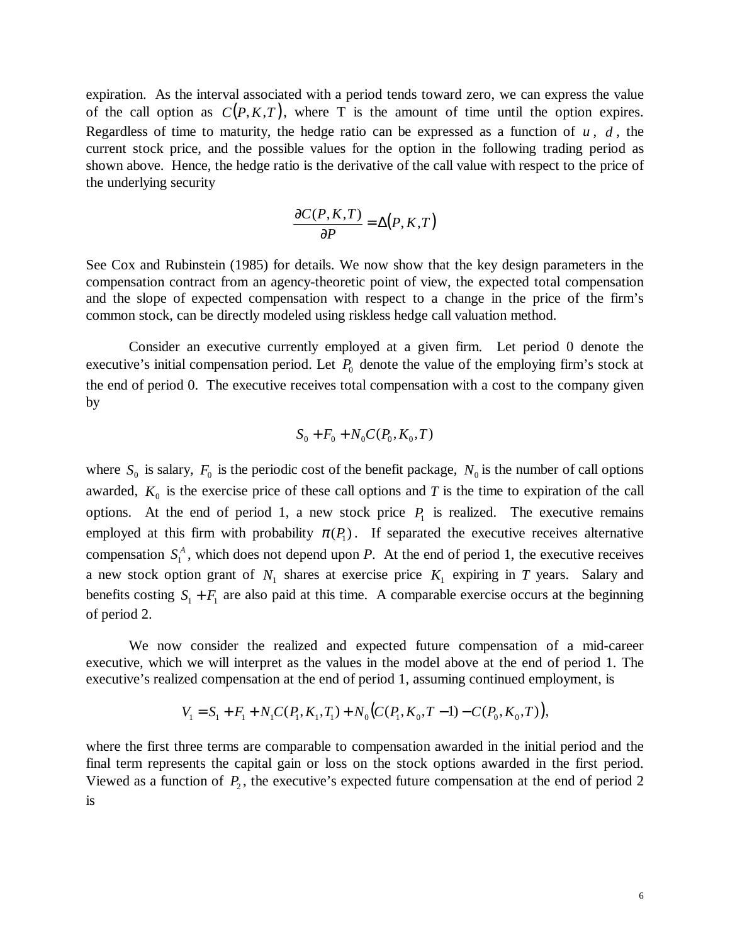expiration. As the interval associated with a period tends toward zero, we can express the value of the call option as  $C(P, K, T)$ , where T is the amount of time until the option expires. Regardless of time to maturity, the hedge ratio can be expressed as a function of  $u$ ,  $d$ , the current stock price, and the possible values for the option in the following trading period as shown above. Hence, the hedge ratio is the derivative of the call value with respect to the price of the underlying security

$$
\frac{\partial C(P,K,T)}{\partial P} = \Delta(P,K,T)
$$

See Cox and Rubinstein (1985) for details. We now show that the key design parameters in the compensation contract from an agency-theoretic point of view, the expected total compensation and the slope of expected compensation with respect to a change in the price of the firm's common stock, can be directly modeled using riskless hedge call valuation method.

Consider an executive currently employed at a given firm. Let period 0 denote the executive's initial compensation period. Let  $P_0$  denote the value of the employing firm's stock at the end of period 0. The executive receives total compensation with a cost to the company given by

$$
S_0 + F_0 + N_0 C(P_0, K_0, T)
$$

where  $S_0$  is salary,  $F_0$  is the periodic cost of the benefit package,  $N_0$  is the number of call options awarded,  $K_0$  is the exercise price of these call options and *T* is the time to expiration of the call options. At the end of period 1, a new stock price  $P_1$  is realized. The executive remains employed at this firm with probability  $\pi(P_1)$ . If separated the executive receives alternative compensation  $S_1^A$ , which does not depend upon *P*. At the end of period 1, the executive receives a new stock option grant of  $N_1$  shares at exercise price  $K_1$  expiring in *T* years. Salary and benefits costing  $S_1 + F_1$  are also paid at this time. A comparable exercise occurs at the beginning of period 2.

We now consider the realized and expected future compensation of a mid-career executive, which we will interpret as the values in the model above at the end of period 1. The executive's realized compensation at the end of period 1, assuming continued employment, is

$$
V_1 = S_1 + F_1 + N_1 C(P_1, K_1, T_1) + N_0 (C(P_1, K_0, T - 1) - C(P_0, K_0, T)),
$$

where the first three terms are comparable to compensation awarded in the initial period and the final term represents the capital gain or loss on the stock options awarded in the first period. Viewed as a function of  $P_2$ , the executive's expected future compensation at the end of period 2 is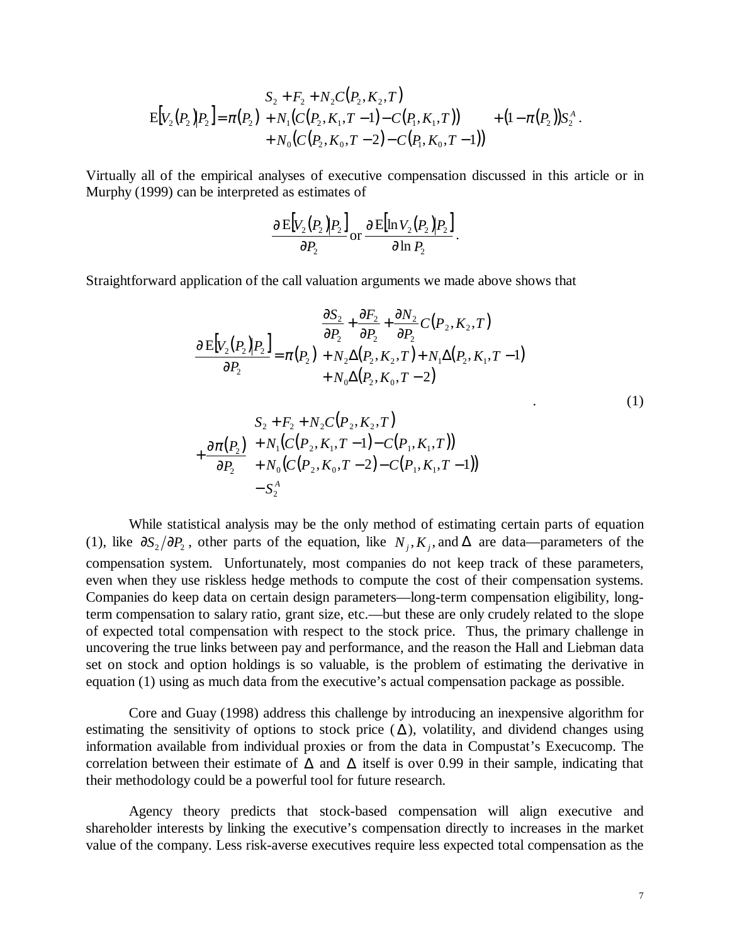$$
\mathrm{E}\big[V_2(P_2) \big| P_2\big] = \pi(P_2) \begin{pmatrix} S_2 + F_2 + N_2 C(P_2, K_2, T) \\ + N_1 (C(P_2, K_1, T - 1) - C(P_1, K_1, T)) \\ + N_0 (C(P_2, K_0, T - 2) - C(P_1, K_0, T - 1)) \end{pmatrix} + (1 - \pi(P_2)) S_2^A.
$$

Virtually all of the empirical analyses of executive compensation discussed in this article or in Murphy (1999) can be interpreted as estimates of

$$
\frac{\partial \mathrm{E}[V_2(P_2)P_2]}{\partial P_2} \mathrm{or} \frac{\partial \mathrm{E}[\ln V_2(P_2)P_2]}{\partial \ln P_2}.
$$

Straightforward application of the call valuation arguments we made above shows that

$$
\frac{\partial E[V_2(P_2)P_2]}{\partial P_2} = \pi(P_2) \left( \frac{\frac{\partial S_2}{\partial P_2} + \frac{\partial F_2}{\partial P_2} + \frac{\partial N_2}{\partial P_2} C(P_2, K_2, T)}{+ N_2 \Delta(P_2, K_2, T) + N_1 \Delta(P_2, K_1, T - 1)} + N_0 \Delta(P_2, K_0, T - 2) \right) + \frac{\partial \pi(P_2)}{\partial P_2} \left( \frac{S_2 + F_2 + N_2 C(P_2, K_2, T)}{+ N_1 (C(P_2, K_1, T - 1) - C(P_1, K_1, T))} \right) - S_2^A
$$
\n(1)

While statistical analysis may be the only method of estimating certain parts of equation (1), like  $\partial S_2 / \partial P_2$ , other parts of the equation, like *N<sub>i</sub>*, *K<sub>i</sub>*, and  $\Delta$  are data—parameters of the compensation system. Unfortunately, most companies do not keep track of these parameters, even when they use riskless hedge methods to compute the cost of their compensation systems. Companies do keep data on certain design parameters—long-term compensation eligibility, longterm compensation to salary ratio, grant size, etc.—but these are only crudely related to the slope of expected total compensation with respect to the stock price. Thus, the primary challenge in uncovering the true links between pay and performance, and the reason the Hall and Liebman data set on stock and option holdings is so valuable, is the problem of estimating the derivative in equation (1) using as much data from the executive's actual compensation package as possible.

Core and Guay (1998) address this challenge by introducing an inexpensive algorithm for estimating the sensitivity of options to stock price  $(\Delta)$ , volatility, and dividend changes using information available from individual proxies or from the data in Compustat's Execucomp. The correlation between their estimate of  $\Delta$  and  $\Delta$  itself is over 0.99 in their sample, indicating that their methodology could be a powerful tool for future research.

Agency theory predicts that stock-based compensation will align executive and shareholder interests by linking the executive's compensation directly to increases in the market value of the company. Less risk-averse executives require less expected total compensation as the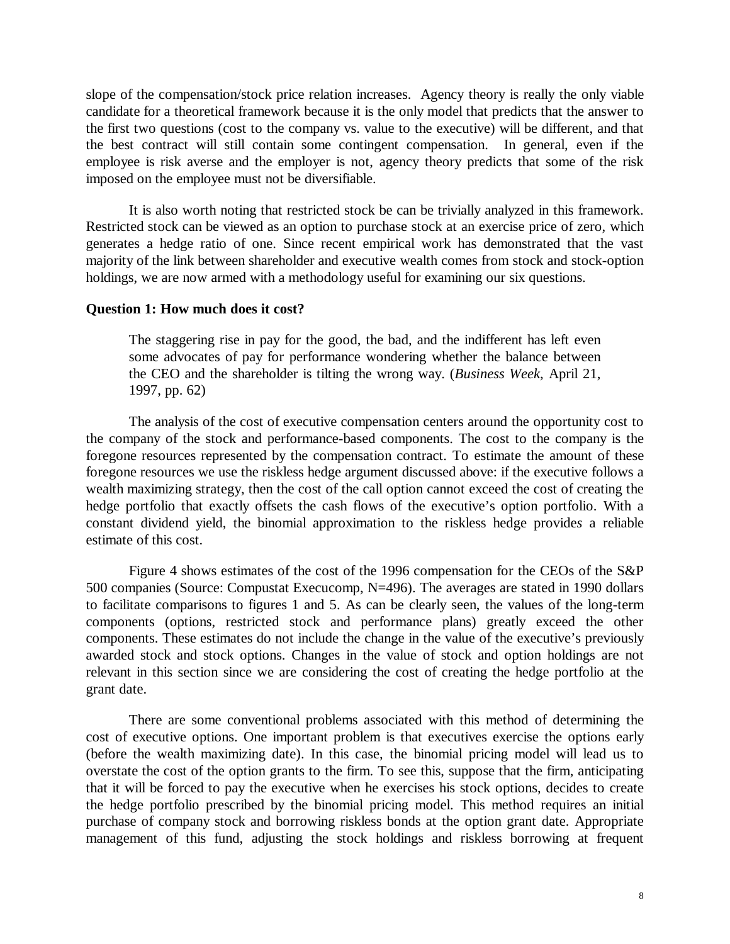slope of the compensation/stock price relation increases. Agency theory is really the only viable candidate for a theoretical framework because it is the only model that predicts that the answer to the first two questions (cost to the company vs. value to the executive) will be different, and that the best contract will still contain some contingent compensation. In general, even if the employee is risk averse and the employer is not, agency theory predicts that some of the risk imposed on the employee must not be diversifiable.

It is also worth noting that restricted stock be can be trivially analyzed in this framework. Restricted stock can be viewed as an option to purchase stock at an exercise price of zero, which generates a hedge ratio of one. Since recent empirical work has demonstrated that the vast majority of the link between shareholder and executive wealth comes from stock and stock-option holdings, we are now armed with a methodology useful for examining our six questions.

## **Question 1: How much does it cost?**

The staggering rise in pay for the good, the bad, and the indifferent has left even some advocates of pay for performance wondering whether the balance between the CEO and the shareholder is tilting the wrong way. (*Business Week*, April 21, 1997, pp. 62)

The analysis of the cost of executive compensation centers around the opportunity cost to the company of the stock and performance-based components. The cost to the company is the foregone resources represented by the compensation contract. To estimate the amount of these foregone resources we use the riskless hedge argument discussed above: if the executive follows a wealth maximizing strategy, then the cost of the call option cannot exceed the cost of creating the hedge portfolio that exactly offsets the cash flows of the executive's option portfolio. With a constant dividend yield, the binomial approximation to the riskless hedge provide*s* a reliable estimate of this cost.

Figure 4 shows estimates of the cost of the 1996 compensation for the CEOs of the S&P 500 companies (Source: Compustat Execucomp, N=496). The averages are stated in 1990 dollars to facilitate comparisons to figures 1 and 5. As can be clearly seen, the values of the long-term components (options, restricted stock and performance plans) greatly exceed the other components. These estimates do not include the change in the value of the executive's previously awarded stock and stock options. Changes in the value of stock and option holdings are not relevant in this section since we are considering the cost of creating the hedge portfolio at the grant date.

There are some conventional problems associated with this method of determining the cost of executive options. One important problem is that executives exercise the options early (before the wealth maximizing date). In this case, the binomial pricing model will lead us to overstate the cost of the option grants to the firm. To see this, suppose that the firm, anticipating that it will be forced to pay the executive when he exercises his stock options, decides to create the hedge portfolio prescribed by the binomial pricing model. This method requires an initial purchase of company stock and borrowing riskless bonds at the option grant date. Appropriate management of this fund, adjusting the stock holdings and riskless borrowing at frequent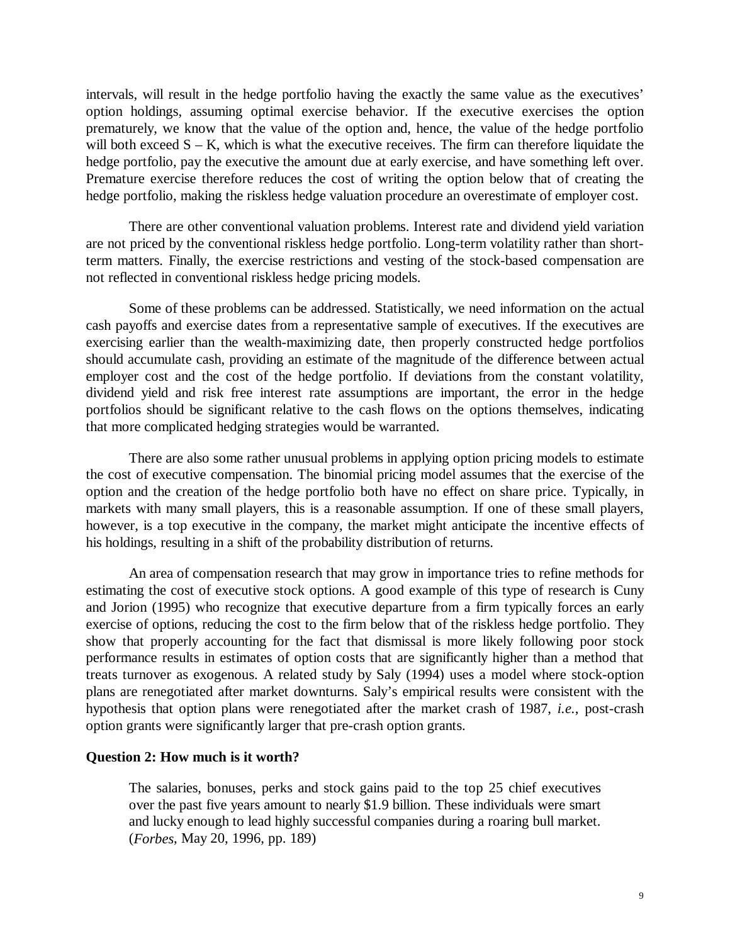intervals, will result in the hedge portfolio having the exactly the same value as the executives' option holdings, assuming optimal exercise behavior. If the executive exercises the option prematurely, we know that the value of the option and, hence, the value of the hedge portfolio will both exceed  $S - K$ , which is what the executive receives. The firm can therefore liquidate the hedge portfolio, pay the executive the amount due at early exercise, and have something left over. Premature exercise therefore reduces the cost of writing the option below that of creating the hedge portfolio, making the riskless hedge valuation procedure an overestimate of employer cost.

There are other conventional valuation problems. Interest rate and dividend yield variation are not priced by the conventional riskless hedge portfolio. Long-term volatility rather than shortterm matters. Finally, the exercise restrictions and vesting of the stock-based compensation are not reflected in conventional riskless hedge pricing models.

Some of these problems can be addressed. Statistically, we need information on the actual cash payoffs and exercise dates from a representative sample of executives. If the executives are exercising earlier than the wealth-maximizing date, then properly constructed hedge portfolios should accumulate cash, providing an estimate of the magnitude of the difference between actual employer cost and the cost of the hedge portfolio. If deviations from the constant volatility, dividend yield and risk free interest rate assumptions are important, the error in the hedge portfolios should be significant relative to the cash flows on the options themselves, indicating that more complicated hedging strategies would be warranted.

There are also some rather unusual problems in applying option pricing models to estimate the cost of executive compensation. The binomial pricing model assumes that the exercise of the option and the creation of the hedge portfolio both have no effect on share price. Typically, in markets with many small players, this is a reasonable assumption. If one of these small players, however, is a top executive in the company, the market might anticipate the incentive effects of his holdings, resulting in a shift of the probability distribution of returns.

An area of compensation research that may grow in importance tries to refine methods for estimating the cost of executive stock options. A good example of this type of research is Cuny and Jorion (1995) who recognize that executive departure from a firm typically forces an early exercise of options, reducing the cost to the firm below that of the riskless hedge portfolio. They show that properly accounting for the fact that dismissal is more likely following poor stock performance results in estimates of option costs that are significantly higher than a method that treats turnover as exogenous. A related study by Saly (1994) uses a model where stock-option plans are renegotiated after market downturns. Saly's empirical results were consistent with the hypothesis that option plans were renegotiated after the market crash of 1987, *i.e.*, post-crash option grants were significantly larger that pre-crash option grants.

## **Question 2: How much is it worth?**

The salaries, bonuses, perks and stock gains paid to the top 25 chief executives over the past five years amount to nearly \$1.9 billion. These individuals were smart and lucky enough to lead highly successful companies during a roaring bull market. (*Forbes*, May 20, 1996, pp. 189)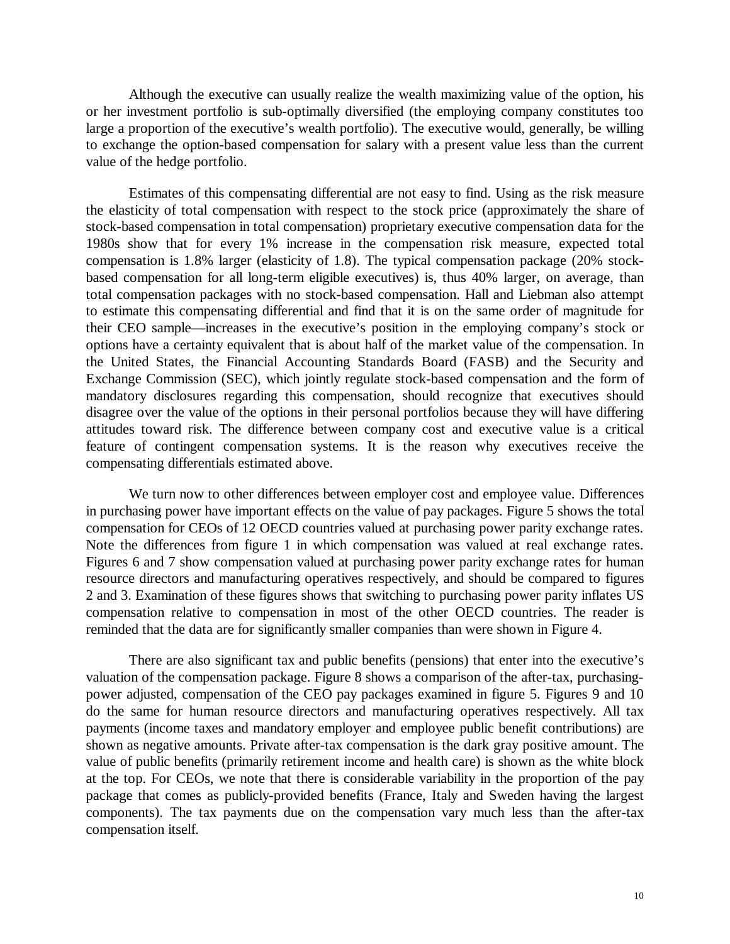Although the executive can usually realize the wealth maximizing value of the option, his or her investment portfolio is sub-optimally diversified (the employing company constitutes too large a proportion of the executive's wealth portfolio). The executive would, generally, be willing to exchange the option-based compensation for salary with a present value less than the current value of the hedge portfolio.

Estimates of this compensating differential are not easy to find. Using as the risk measure the elasticity of total compensation with respect to the stock price (approximately the share of stock-based compensation in total compensation) proprietary executive compensation data for the 1980s show that for every 1% increase in the compensation risk measure, expected total compensation is 1.8% larger (elasticity of 1.8). The typical compensation package (20% stockbased compensation for all long-term eligible executives) is, thus 40% larger, on average, than total compensation packages with no stock-based compensation. Hall and Liebman also attempt to estimate this compensating differential and find that it is on the same order of magnitude for their CEO sample—increases in the executive's position in the employing company's stock or options have a certainty equivalent that is about half of the market value of the compensation. In the United States, the Financial Accounting Standards Board (FASB) and the Security and Exchange Commission (SEC), which jointly regulate stock-based compensation and the form of mandatory disclosures regarding this compensation, should recognize that executives should disagree over the value of the options in their personal portfolios because they will have differing attitudes toward risk. The difference between company cost and executive value is a critical feature of contingent compensation systems. It is the reason why executives receive the compensating differentials estimated above.

We turn now to other differences between employer cost and employee value. Differences in purchasing power have important effects on the value of pay packages. Figure 5 shows the total compensation for CEOs of 12 OECD countries valued at purchasing power parity exchange rates. Note the differences from figure 1 in which compensation was valued at real exchange rates. Figures 6 and 7 show compensation valued at purchasing power parity exchange rates for human resource directors and manufacturing operatives respectively, and should be compared to figures 2 and 3. Examination of these figures shows that switching to purchasing power parity inflates US compensation relative to compensation in most of the other OECD countries. The reader is reminded that the data are for significantly smaller companies than were shown in Figure 4.

There are also significant tax and public benefits (pensions) that enter into the executive's valuation of the compensation package. Figure 8 shows a comparison of the after-tax, purchasingpower adjusted, compensation of the CEO pay packages examined in figure 5. Figures 9 and 10 do the same for human resource directors and manufacturing operatives respectively. All tax payments (income taxes and mandatory employer and employee public benefit contributions) are shown as negative amounts. Private after-tax compensation is the dark gray positive amount. The value of public benefits (primarily retirement income and health care) is shown as the white block at the top. For CEOs, we note that there is considerable variability in the proportion of the pay package that comes as publicly-provided benefits (France, Italy and Sweden having the largest components). The tax payments due on the compensation vary much less than the after-tax compensation itself.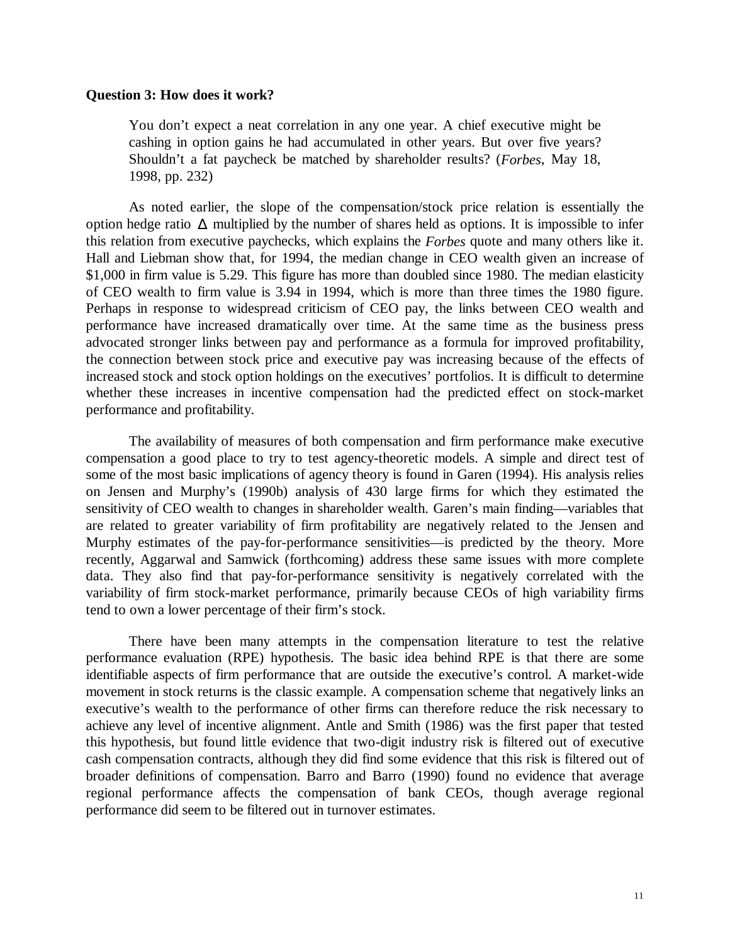#### **Question 3: How does it work?**

You don't expect a neat correlation in any one year. A chief executive might be cashing in option gains he had accumulated in other years. But over five years? Shouldn't a fat paycheck be matched by shareholder results? (*Forbes*, May 18, 1998, pp. 232)

As noted earlier, the slope of the compensation/stock price relation is essentially the option hedge ratio ∆ multiplied by the number of shares held as options. It is impossible to infer this relation from executive paychecks, which explains the *Forbes* quote and many others like it. Hall and Liebman show that, for 1994, the median change in CEO wealth given an increase of \$1,000 in firm value is 5.29. This figure has more than doubled since 1980. The median elasticity of CEO wealth to firm value is 3.94 in 1994, which is more than three times the 1980 figure. Perhaps in response to widespread criticism of CEO pay, the links between CEO wealth and performance have increased dramatically over time. At the same time as the business press advocated stronger links between pay and performance as a formula for improved profitability, the connection between stock price and executive pay was increasing because of the effects of increased stock and stock option holdings on the executives' portfolios. It is difficult to determine whether these increases in incentive compensation had the predicted effect on stock-market performance and profitability.

The availability of measures of both compensation and firm performance make executive compensation a good place to try to test agency-theoretic models. A simple and direct test of some of the most basic implications of agency theory is found in Garen (1994). His analysis relies on Jensen and Murphy's (1990b) analysis of 430 large firms for which they estimated the sensitivity of CEO wealth to changes in shareholder wealth. Garen's main finding—variables that are related to greater variability of firm profitability are negatively related to the Jensen and Murphy estimates of the pay-for-performance sensitivities—is predicted by the theory. More recently, Aggarwal and Samwick (forthcoming) address these same issues with more complete data. They also find that pay-for-performance sensitivity is negatively correlated with the variability of firm stock-market performance, primarily because CEOs of high variability firms tend to own a lower percentage of their firm's stock.

There have been many attempts in the compensation literature to test the relative performance evaluation (RPE) hypothesis. The basic idea behind RPE is that there are some identifiable aspects of firm performance that are outside the executive's control. A market-wide movement in stock returns is the classic example. A compensation scheme that negatively links an executive's wealth to the performance of other firms can therefore reduce the risk necessary to achieve any level of incentive alignment. Antle and Smith (1986) was the first paper that tested this hypothesis, but found little evidence that two-digit industry risk is filtered out of executive cash compensation contracts, although they did find some evidence that this risk is filtered out of broader definitions of compensation. Barro and Barro (1990) found no evidence that average regional performance affects the compensation of bank CEOs, though average regional performance did seem to be filtered out in turnover estimates.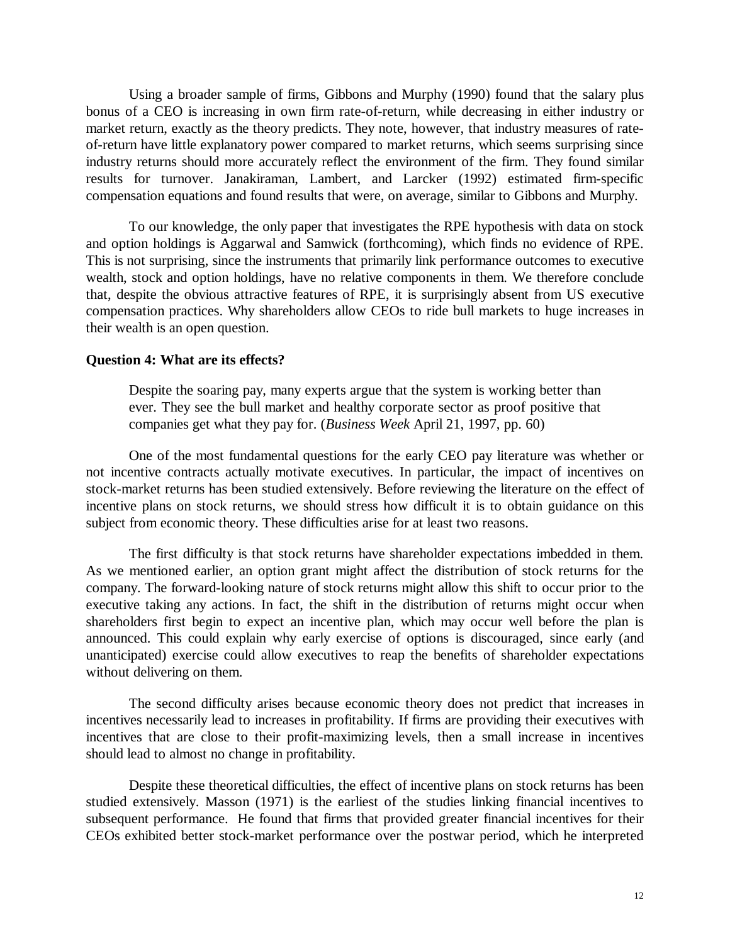Using a broader sample of firms, Gibbons and Murphy (1990) found that the salary plus bonus of a CEO is increasing in own firm rate-of-return, while decreasing in either industry or market return, exactly as the theory predicts. They note, however, that industry measures of rateof-return have little explanatory power compared to market returns, which seems surprising since industry returns should more accurately reflect the environment of the firm. They found similar results for turnover. Janakiraman, Lambert, and Larcker (1992) estimated firm-specific compensation equations and found results that were, on average, similar to Gibbons and Murphy.

To our knowledge, the only paper that investigates the RPE hypothesis with data on stock and option holdings is Aggarwal and Samwick (forthcoming), which finds no evidence of RPE. This is not surprising, since the instruments that primarily link performance outcomes to executive wealth, stock and option holdings, have no relative components in them. We therefore conclude that, despite the obvious attractive features of RPE, it is surprisingly absent from US executive compensation practices. Why shareholders allow CEOs to ride bull markets to huge increases in their wealth is an open question.

#### **Question 4: What are its effects?**

Despite the soaring pay, many experts argue that the system is working better than ever. They see the bull market and healthy corporate sector as proof positive that companies get what they pay for. (*Business Week* April 21, 1997, pp. 60)

One of the most fundamental questions for the early CEO pay literature was whether or not incentive contracts actually motivate executives. In particular, the impact of incentives on stock-market returns has been studied extensively. Before reviewing the literature on the effect of incentive plans on stock returns, we should stress how difficult it is to obtain guidance on this subject from economic theory. These difficulties arise for at least two reasons.

The first difficulty is that stock returns have shareholder expectations imbedded in them. As we mentioned earlier, an option grant might affect the distribution of stock returns for the company. The forward-looking nature of stock returns might allow this shift to occur prior to the executive taking any actions. In fact, the shift in the distribution of returns might occur when shareholders first begin to expect an incentive plan, which may occur well before the plan is announced. This could explain why early exercise of options is discouraged, since early (and unanticipated) exercise could allow executives to reap the benefits of shareholder expectations without delivering on them.

The second difficulty arises because economic theory does not predict that increases in incentives necessarily lead to increases in profitability. If firms are providing their executives with incentives that are close to their profit-maximizing levels, then a small increase in incentives should lead to almost no change in profitability.

Despite these theoretical difficulties, the effect of incentive plans on stock returns has been studied extensively. Masson (1971) is the earliest of the studies linking financial incentives to subsequent performance. He found that firms that provided greater financial incentives for their CEOs exhibited better stock-market performance over the postwar period, which he interpreted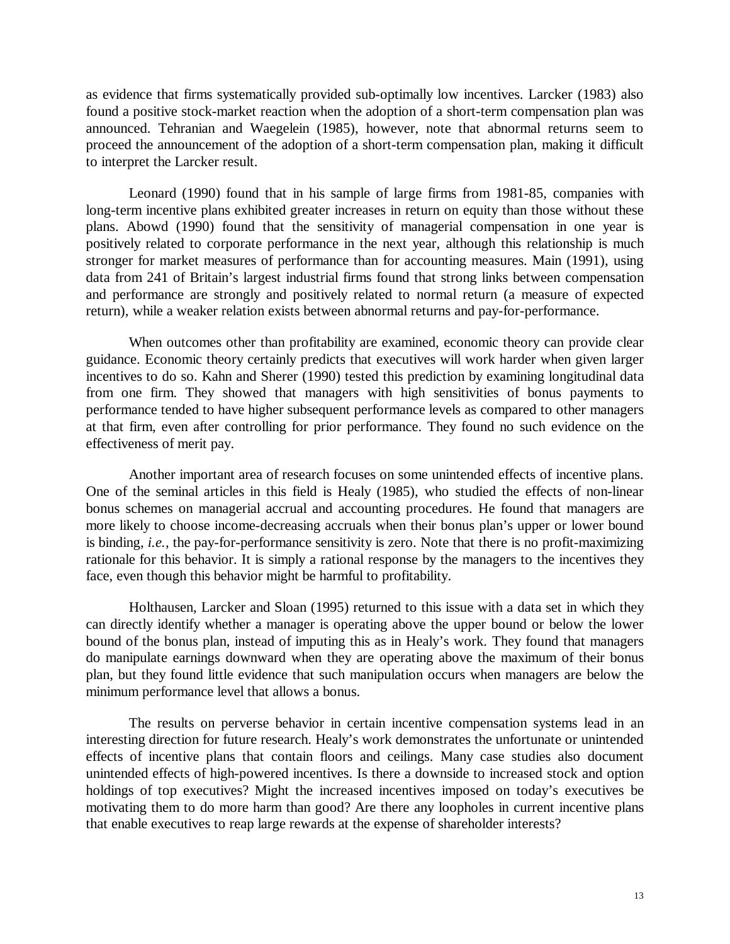as evidence that firms systematically provided sub-optimally low incentives. Larcker (1983) also found a positive stock-market reaction when the adoption of a short-term compensation plan was announced. Tehranian and Waegelein (1985), however, note that abnormal returns seem to proceed the announcement of the adoption of a short-term compensation plan, making it difficult to interpret the Larcker result.

Leonard (1990) found that in his sample of large firms from 1981-85, companies with long-term incentive plans exhibited greater increases in return on equity than those without these plans. Abowd (1990) found that the sensitivity of managerial compensation in one year is positively related to corporate performance in the next year, although this relationship is much stronger for market measures of performance than for accounting measures. Main (1991), using data from 241 of Britain's largest industrial firms found that strong links between compensation and performance are strongly and positively related to normal return (a measure of expected return), while a weaker relation exists between abnormal returns and pay-for-performance.

When outcomes other than profitability are examined, economic theory can provide clear guidance. Economic theory certainly predicts that executives will work harder when given larger incentives to do so. Kahn and Sherer (1990) tested this prediction by examining longitudinal data from one firm. They showed that managers with high sensitivities of bonus payments to performance tended to have higher subsequent performance levels as compared to other managers at that firm, even after controlling for prior performance. They found no such evidence on the effectiveness of merit pay.

Another important area of research focuses on some unintended effects of incentive plans. One of the seminal articles in this field is Healy (1985), who studied the effects of non-linear bonus schemes on managerial accrual and accounting procedures. He found that managers are more likely to choose income-decreasing accruals when their bonus plan's upper or lower bound is binding, *i.e.,* the pay-for-performance sensitivity is zero. Note that there is no profit-maximizing rationale for this behavior. It is simply a rational response by the managers to the incentives they face, even though this behavior might be harmful to profitability.

Holthausen, Larcker and Sloan (1995) returned to this issue with a data set in which they can directly identify whether a manager is operating above the upper bound or below the lower bound of the bonus plan, instead of imputing this as in Healy's work. They found that managers do manipulate earnings downward when they are operating above the maximum of their bonus plan, but they found little evidence that such manipulation occurs when managers are below the minimum performance level that allows a bonus.

The results on perverse behavior in certain incentive compensation systems lead in an interesting direction for future research. Healy's work demonstrates the unfortunate or unintended effects of incentive plans that contain floors and ceilings. Many case studies also document unintended effects of high-powered incentives. Is there a downside to increased stock and option holdings of top executives? Might the increased incentives imposed on today's executives be motivating them to do more harm than good? Are there any loopholes in current incentive plans that enable executives to reap large rewards at the expense of shareholder interests?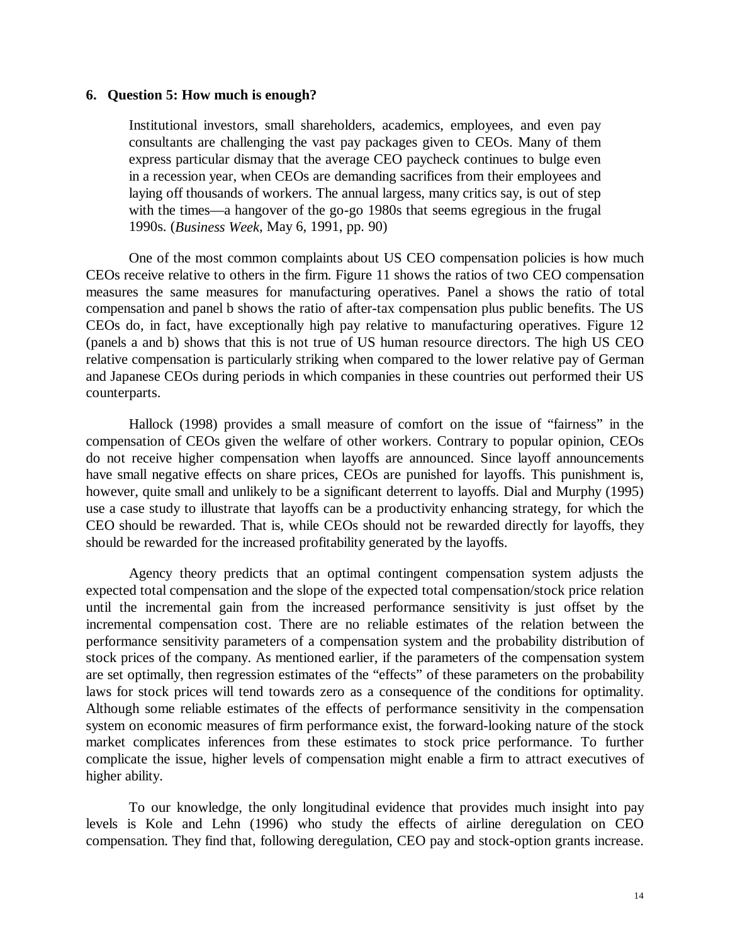## **6. Question 5: How much is enough?**

Institutional investors, small shareholders, academics, employees, and even pay consultants are challenging the vast pay packages given to CEOs. Many of them express particular dismay that the average CEO paycheck continues to bulge even in a recession year, when CEOs are demanding sacrifices from their employees and laying off thousands of workers. The annual largess, many critics say, is out of step with the times—a hangover of the go-go 1980s that seems egregious in the frugal 1990s. (*Business Week*, May 6, 1991, pp. 90)

One of the most common complaints about US CEO compensation policies is how much CEOs receive relative to others in the firm. Figure 11 shows the ratios of two CEO compensation measures the same measures for manufacturing operatives. Panel a shows the ratio of total compensation and panel b shows the ratio of after-tax compensation plus public benefits. The US CEOs do, in fact, have exceptionally high pay relative to manufacturing operatives. Figure 12 (panels a and b) shows that this is not true of US human resource directors. The high US CEO relative compensation is particularly striking when compared to the lower relative pay of German and Japanese CEOs during periods in which companies in these countries out performed their US counterparts.

Hallock (1998) provides a small measure of comfort on the issue of "fairness" in the compensation of CEOs given the welfare of other workers. Contrary to popular opinion, CEOs do not receive higher compensation when layoffs are announced. Since layoff announcements have small negative effects on share prices, CEOs are punished for layoffs. This punishment is, however, quite small and unlikely to be a significant deterrent to layoffs. Dial and Murphy (1995) use a case study to illustrate that layoffs can be a productivity enhancing strategy, for which the CEO should be rewarded. That is, while CEOs should not be rewarded directly for layoffs, they should be rewarded for the increased profitability generated by the layoffs.

Agency theory predicts that an optimal contingent compensation system adjusts the expected total compensation and the slope of the expected total compensation/stock price relation until the incremental gain from the increased performance sensitivity is just offset by the incremental compensation cost. There are no reliable estimates of the relation between the performance sensitivity parameters of a compensation system and the probability distribution of stock prices of the company. As mentioned earlier, if the parameters of the compensation system are set optimally, then regression estimates of the "effects" of these parameters on the probability laws for stock prices will tend towards zero as a consequence of the conditions for optimality. Although some reliable estimates of the effects of performance sensitivity in the compensation system on economic measures of firm performance exist, the forward-looking nature of the stock market complicates inferences from these estimates to stock price performance. To further complicate the issue, higher levels of compensation might enable a firm to attract executives of higher ability.

To our knowledge, the only longitudinal evidence that provides much insight into pay levels is Kole and Lehn (1996) who study the effects of airline deregulation on CEO compensation. They find that, following deregulation, CEO pay and stock-option grants increase.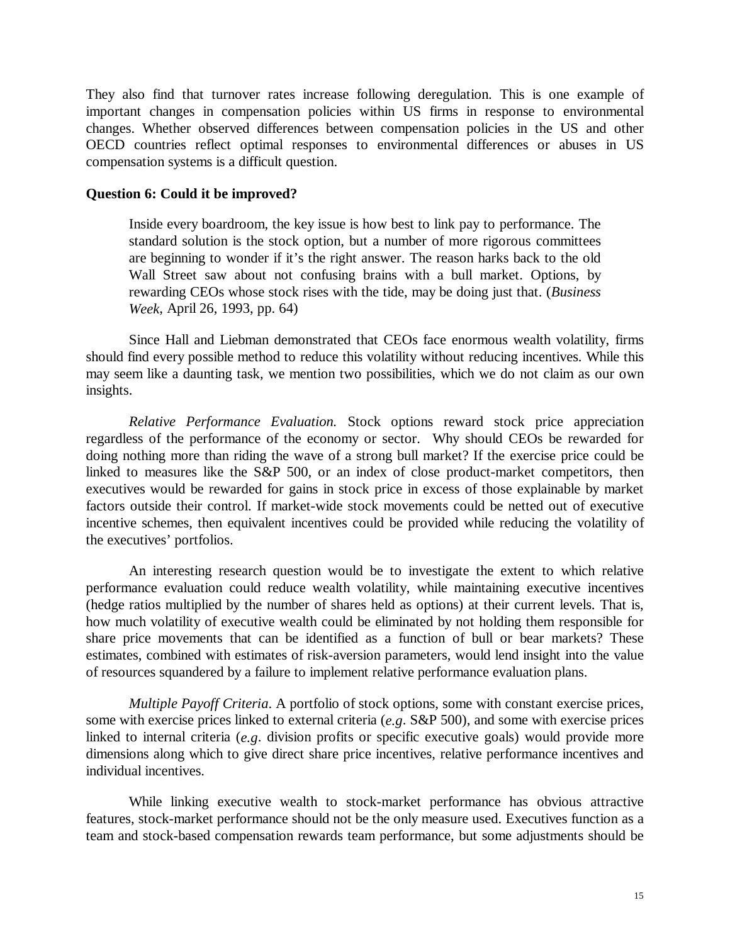They also find that turnover rates increase following deregulation. This is one example of important changes in compensation policies within US firms in response to environmental changes. Whether observed differences between compensation policies in the US and other OECD countries reflect optimal responses to environmental differences or abuses in US compensation systems is a difficult question.

## **Question 6: Could it be improved?**

Inside every boardroom, the key issue is how best to link pay to performance. The standard solution is the stock option, but a number of more rigorous committees are beginning to wonder if it's the right answer. The reason harks back to the old Wall Street saw about not confusing brains with a bull market. Options, by rewarding CEOs whose stock rises with the tide, may be doing just that. (*Business Week*, April 26, 1993, pp. 64)

Since Hall and Liebman demonstrated that CEOs face enormous wealth volatility, firms should find every possible method to reduce this volatility without reducing incentives. While this may seem like a daunting task, we mention two possibilities, which we do not claim as our own insights.

*Relative Performance Evaluation.* Stock options reward stock price appreciation regardless of the performance of the economy or sector. Why should CEOs be rewarded for doing nothing more than riding the wave of a strong bull market? If the exercise price could be linked to measures like the S&P 500, or an index of close product-market competitors, then executives would be rewarded for gains in stock price in excess of those explainable by market factors outside their control. If market-wide stock movements could be netted out of executive incentive schemes, then equivalent incentives could be provided while reducing the volatility of the executives' portfolios.

An interesting research question would be to investigate the extent to which relative performance evaluation could reduce wealth volatility, while maintaining executive incentives (hedge ratios multiplied by the number of shares held as options) at their current levels. That is, how much volatility of executive wealth could be eliminated by not holding them responsible for share price movements that can be identified as a function of bull or bear markets? These estimates, combined with estimates of risk-aversion parameters, would lend insight into the value of resources squandered by a failure to implement relative performance evaluation plans.

*Multiple Payoff Criteria*. A portfolio of stock options, some with constant exercise prices, some with exercise prices linked to external criteria (*e.g*. S&P 500), and some with exercise prices linked to internal criteria (*e.g*. division profits or specific executive goals) would provide more dimensions along which to give direct share price incentives, relative performance incentives and individual incentives.

While linking executive wealth to stock-market performance has obvious attractive features, stock-market performance should not be the only measure used. Executives function as a team and stock-based compensation rewards team performance, but some adjustments should be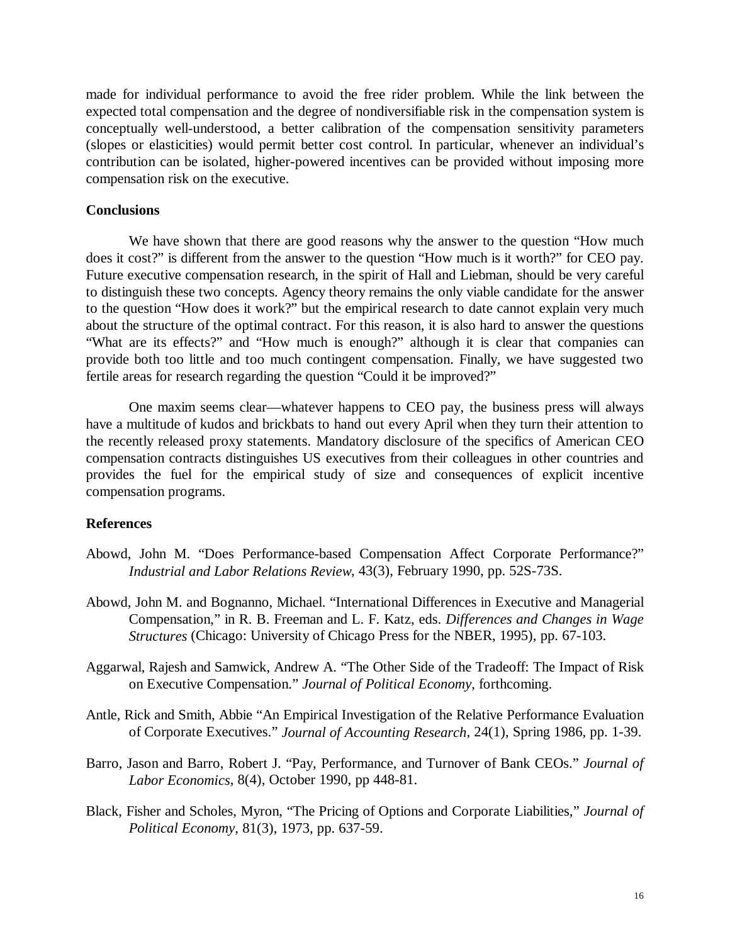made for individual performance to avoid the free rider problem. While the link between the expected total compensation and the degree of nondiversifiable risk in the compensation system is conceptually well-understood, a better calibration of the compensation sensitivity parameters (slopes or elasticities) would permit better cost control. In particular, whenever an individual's contribution can be isolated, higher-powered incentives can be provided without imposing more compensation risk on the executive.

## **Conclusions**

We have shown that there are good reasons why the answer to the question "How much does it cost?" is different from the answer to the question "How much is it worth?" for CEO pay. Future executive compensation research, in the spirit of Hall and Liebman, should be very careful to distinguish these two concepts. Agency theory remains the only viable candidate for the answer to the question "How does it work?" but the empirical research to date cannot explain very much about the structure of the optimal contract. For this reason, it is also hard to answer the questions "What are its effects?" and "How much is enough?" although it is clear that companies can provide both too little and too much contingent compensation. Finally, we have suggested two fertile areas for research regarding the question "Could it be improved?"

One maxim seems clear—whatever happens to CEO pay, the business press will always have a multitude of kudos and brickbats to hand out every April when they turn their attention to the recently released proxy statements. Mandatory disclosure of the specifics of American CEO compensation contracts distinguishes US executives from their colleagues in other countries and provides the fuel for the empirical study of size and consequences of explicit incentive compensation programs.

# **References**

- Abowd, John M. "Does Performance-based Compensation Affect Corporate Performance?" *Industrial and Labor Relations Review*, 43(3), February 1990, pp. 52S-73S.
- Abowd, John M. and Bognanno, Michael. "International Differences in Executive and Managerial Compensation," in R. B. Freeman and L. F. Katz, eds. *Differences and Changes in Wage Structures* (Chicago: University of Chicago Press for the NBER, 1995), pp. 67-103.
- Aggarwal, Rajesh and Samwick, Andrew A. "The Other Side of the Tradeoff: The Impact of Risk on Executive Compensation." *Journal of Political Economy*, forthcoming.
- Antle, Rick and Smith, Abbie "An Empirical Investigation of the Relative Performance Evaluation of Corporate Executives." *Journal of Accounting Research*, 24(1), Spring 1986, pp. 1-39.
- Barro, Jason and Barro, Robert J. "Pay, Performance, and Turnover of Bank CEOs." *Journal of Labor Economics*, 8(4), October 1990, pp 448-81.
- Black, Fisher and Scholes, Myron, "The Pricing of Options and Corporate Liabilities," *Journal of Political Economy*, 81(3), 1973, pp. 637-59.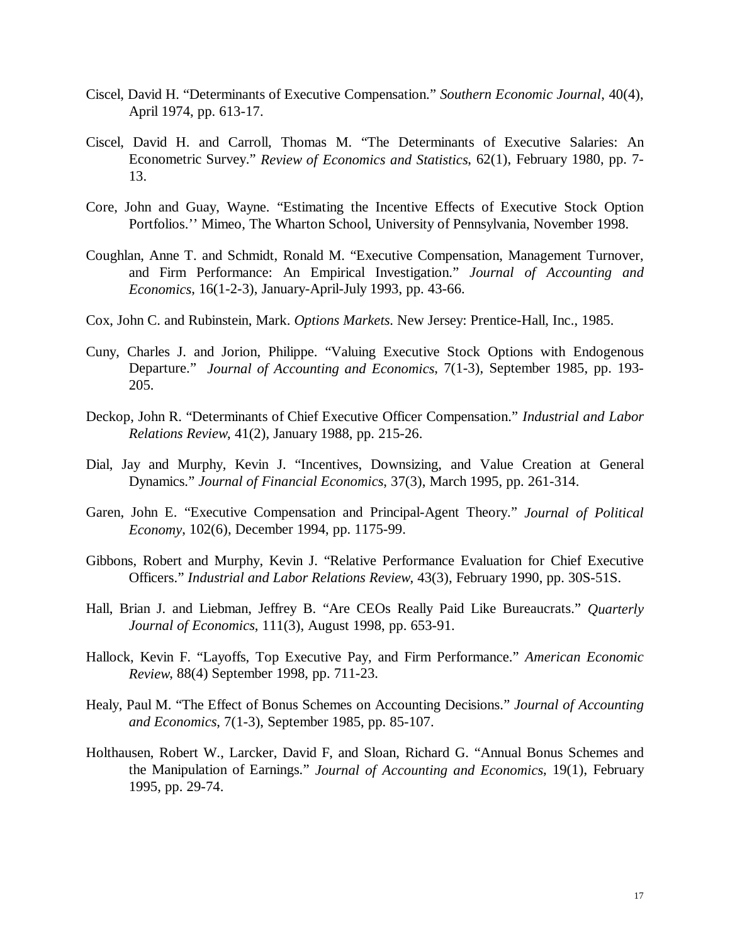- Ciscel, David H. "Determinants of Executive Compensation." *Southern Economic Journal*, 40(4), April 1974, pp. 613-17.
- Ciscel, David H. and Carroll, Thomas M. "The Determinants of Executive Salaries: An Econometric Survey." *Review of Economics and Statistics*, 62(1), February 1980, pp. 7- 13.
- Core, John and Guay, Wayne. "Estimating the Incentive Effects of Executive Stock Option Portfolios.'' Mimeo, The Wharton School, University of Pennsylvania, November 1998.
- Coughlan, Anne T. and Schmidt, Ronald M. "Executive Compensation, Management Turnover, and Firm Performance: An Empirical Investigation." *Journal of Accounting and Economics*, 16(1-2-3), January-April-July 1993, pp. 43-66.
- Cox, John C. and Rubinstein, Mark. *Options Markets*. New Jersey: Prentice-Hall, Inc., 1985.
- Cuny, Charles J. and Jorion, Philippe. "Valuing Executive Stock Options with Endogenous Departure." *Journal of Accounting and Economics*, 7(1-3), September 1985, pp. 193- 205.
- Deckop, John R. "Determinants of Chief Executive Officer Compensation." *Industrial and Labor Relations Review*, 41(2), January 1988, pp. 215-26.
- Dial, Jay and Murphy, Kevin J. "Incentives, Downsizing, and Value Creation at General Dynamics." *Journal of Financial Economics*, 37(3), March 1995, pp. 261-314.
- Garen, John E. "Executive Compensation and Principal-Agent Theory." *Journal of Political Economy*, 102(6), December 1994, pp. 1175-99.
- Gibbons, Robert and Murphy, Kevin J. "Relative Performance Evaluation for Chief Executive Officers." *Industrial and Labor Relations Review*, 43(3), February 1990, pp. 30S-51S.
- Hall, Brian J. and Liebman, Jeffrey B. "Are CEOs Really Paid Like Bureaucrats." *Quarterly Journal of Economics*, 111(3), August 1998, pp. 653-91.
- Hallock, Kevin F. "Layoffs, Top Executive Pay, and Firm Performance." *American Economic Review*, 88(4) September 1998, pp. 711-23.
- Healy, Paul M. "The Effect of Bonus Schemes on Accounting Decisions." *Journal of Accounting and Economics*, 7(1-3), September 1985, pp. 85-107.
- Holthausen, Robert W., Larcker, David F, and Sloan, Richard G. "Annual Bonus Schemes and the Manipulation of Earnings." *Journal of Accounting and Economics*, 19(1), February 1995, pp. 29-74.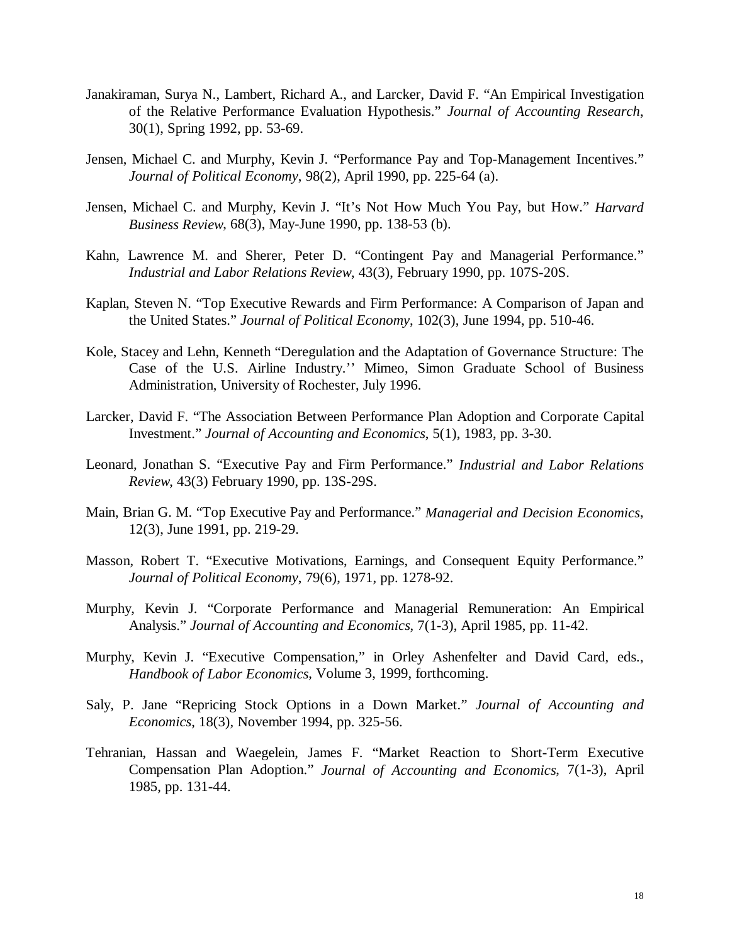- Janakiraman, Surya N., Lambert, Richard A., and Larcker, David F. "An Empirical Investigation of the Relative Performance Evaluation Hypothesis." *Journal of Accounting Research*, 30(1), Spring 1992, pp. 53-69.
- Jensen, Michael C. and Murphy, Kevin J. "Performance Pay and Top-Management Incentives." *Journal of Political Economy*, 98(2), April 1990, pp. 225-64 (a).
- Jensen, Michael C. and Murphy, Kevin J. "It's Not How Much You Pay, but How." *Harvard Business Review*, 68(3), May-June 1990, pp. 138-53 (b).
- Kahn, Lawrence M. and Sherer, Peter D. "Contingent Pay and Managerial Performance." *Industrial and Labor Relations Review*, 43(3), February 1990, pp. 107S-20S.
- Kaplan, Steven N. "Top Executive Rewards and Firm Performance: A Comparison of Japan and the United States." *Journal of Political Economy*, 102(3), June 1994, pp. 510-46.
- Kole, Stacey and Lehn, Kenneth "Deregulation and the Adaptation of Governance Structure: The Case of the U.S. Airline Industry.'' Mimeo, Simon Graduate School of Business Administration, University of Rochester, July 1996.
- Larcker, David F. "The Association Between Performance Plan Adoption and Corporate Capital Investment." *Journal of Accounting and Economics*, 5(1), 1983, pp. 3-30.
- Leonard, Jonathan S. "Executive Pay and Firm Performance." *Industrial and Labor Relations Review*, 43(3) February 1990, pp. 13S-29S.
- Main, Brian G. M. "Top Executive Pay and Performance." *Managerial and Decision Economics*, 12(3), June 1991, pp. 219-29.
- Masson, Robert T. "Executive Motivations, Earnings, and Consequent Equity Performance." *Journal of Political Economy*, 79(6), 1971, pp. 1278-92.
- Murphy, Kevin J. "Corporate Performance and Managerial Remuneration: An Empirical Analysis." *Journal of Accounting and Economics*, 7(1-3), April 1985, pp. 11-42.
- Murphy, Kevin J. "Executive Compensation," in Orley Ashenfelter and David Card, eds., *Handbook of Labor Economics*, Volume 3, 1999, forthcoming.
- Saly, P. Jane "Repricing Stock Options in a Down Market." *Journal of Accounting and Economics*, 18(3), November 1994, pp. 325-56.
- Tehranian, Hassan and Waegelein, James F. "Market Reaction to Short-Term Executive Compensation Plan Adoption." *Journal of Accounting and Economics*, 7(1-3), April 1985, pp. 131-44.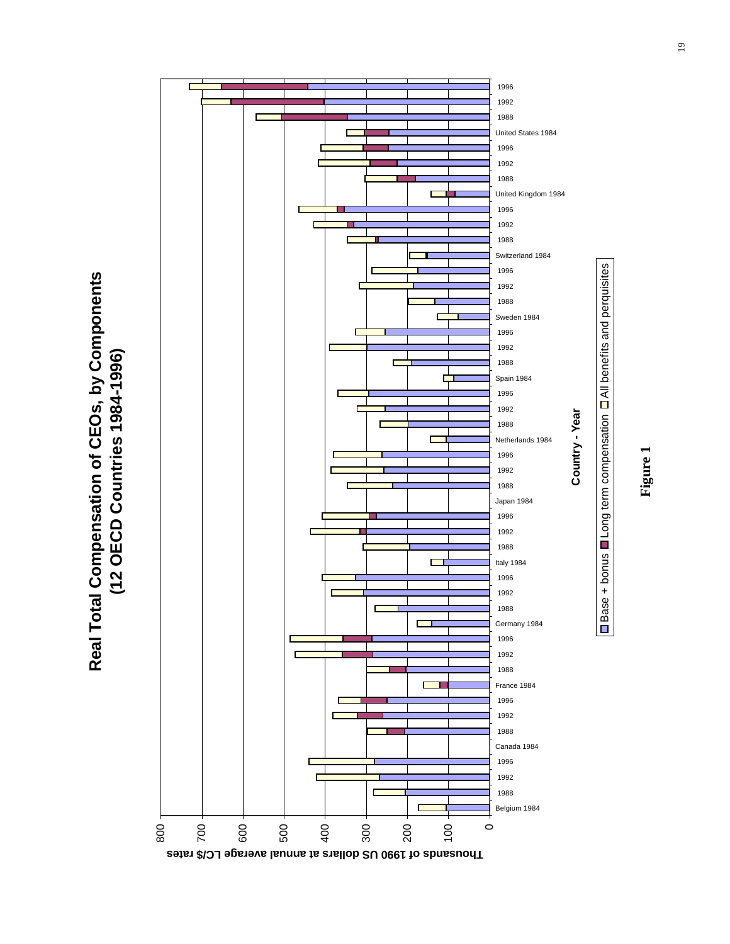





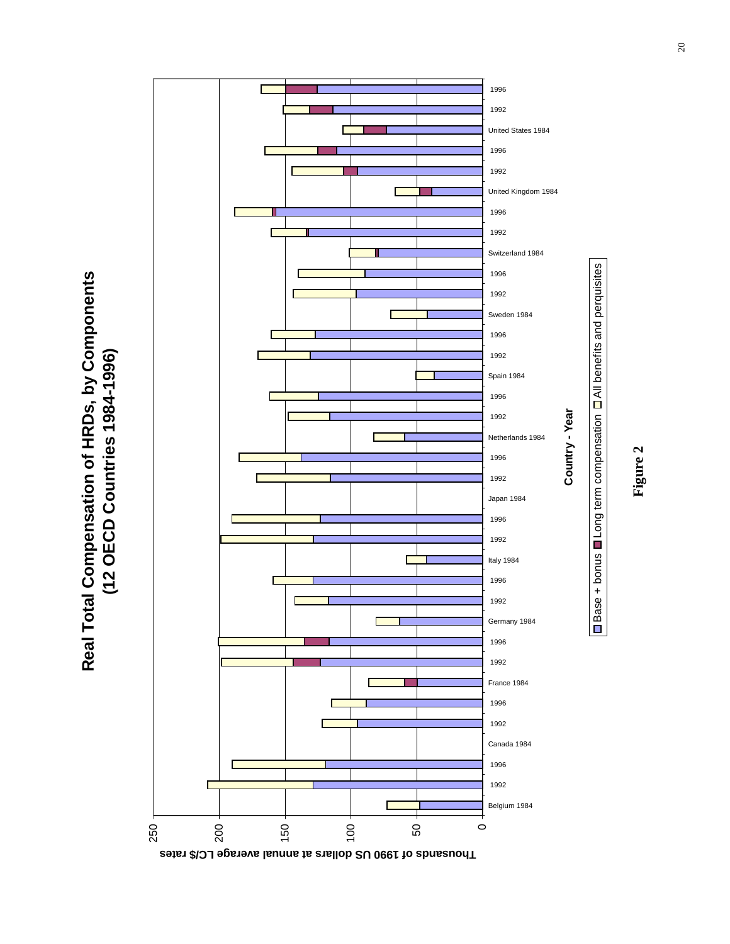



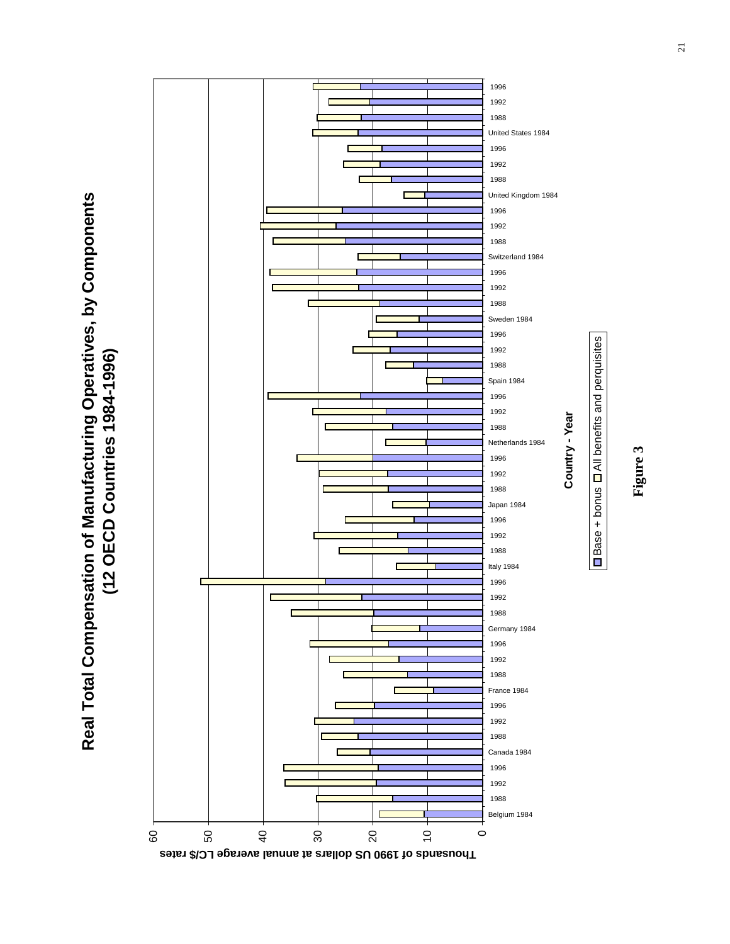Real Total Compensation of Manufacturing Operatives, by Components<br>(12 OECD Countries 1984-1996) **Real Total Compensation of Manufacturing Operatives, by Components (12 OECD Countries 1984-1996)**



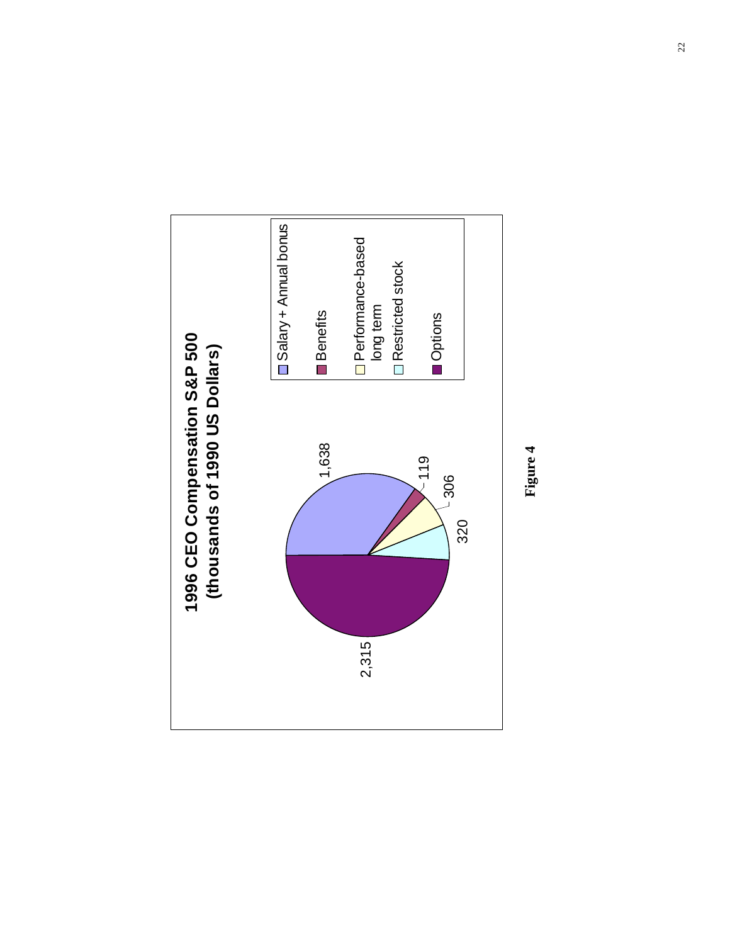

**Figure 4**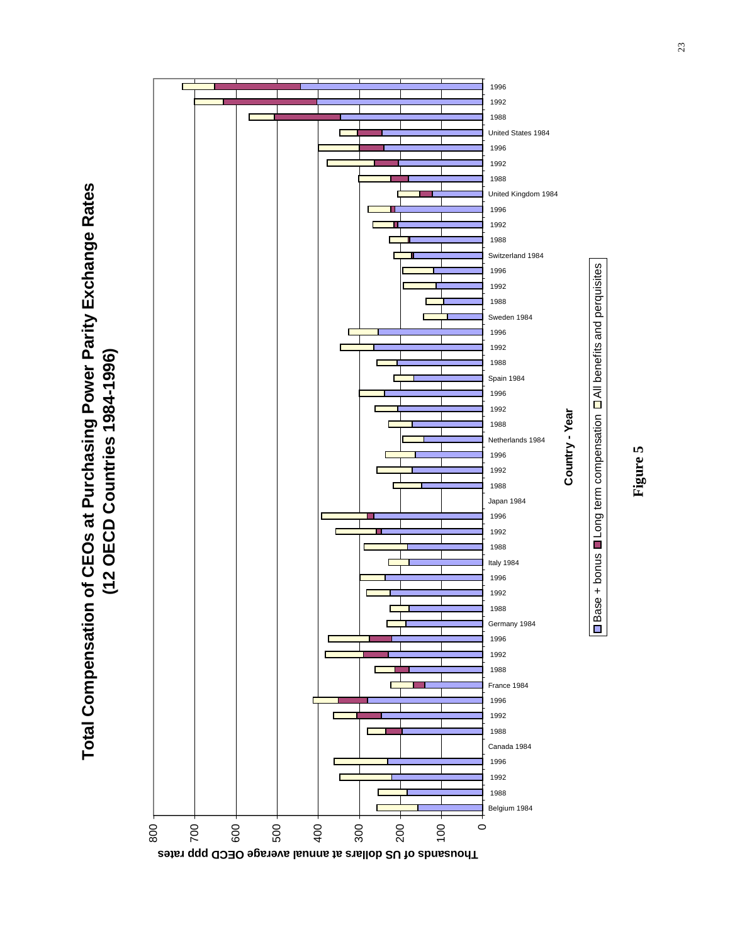



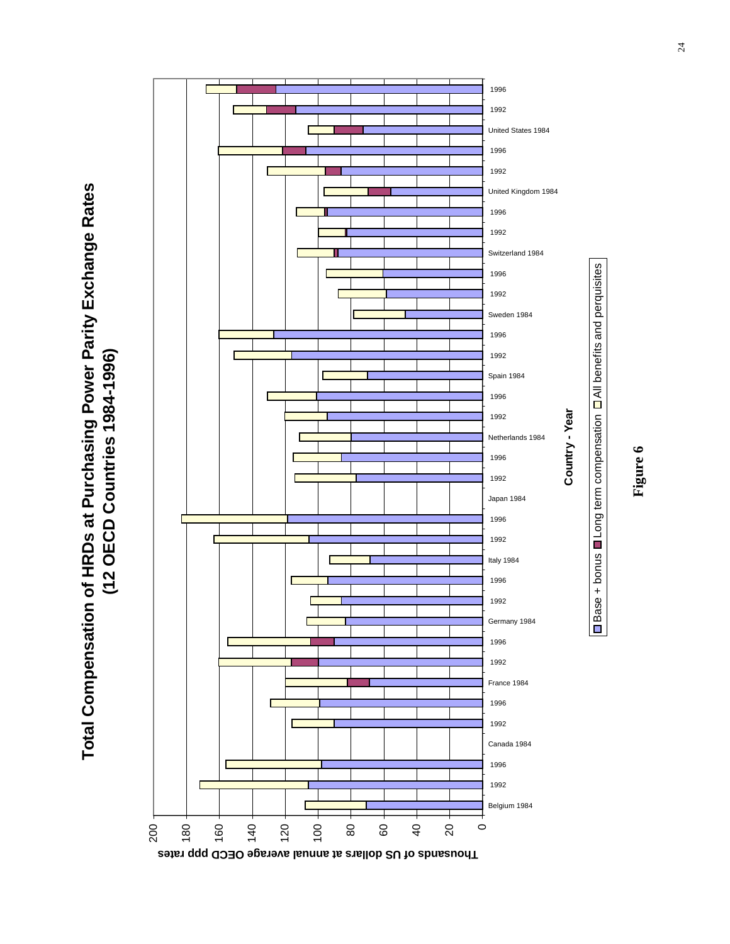Total Compensation of HRDs at Purchasing Power Parity Exchange Rates **Total Compensation of HRDs at Purchasing Power Parity Exchange Rates** (12 OECD Countries 1984-1996) **(12 OECD Countries 1984-1996)**



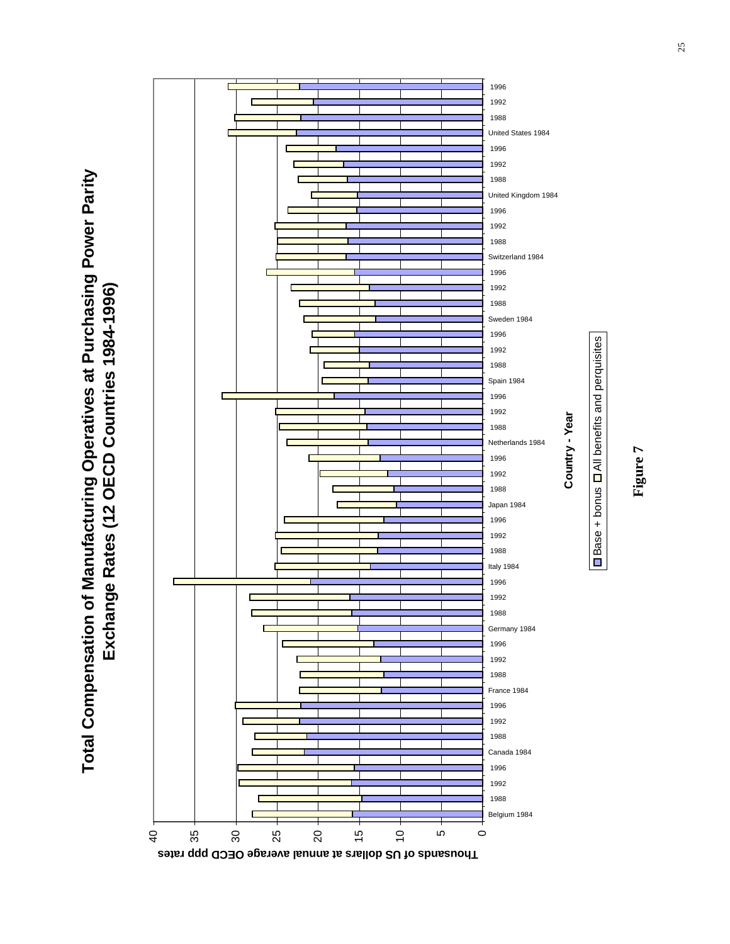Total Compensation of Manufacturing Operatives at Purchasing Power Parity<br>Exchange Rates (12 OECD Countries 1984-1996) **Total Compensation of Manufacturing Operatives at Purchasing Power Parity Exchange Rates (12 OECD Countries 1984-1996)**



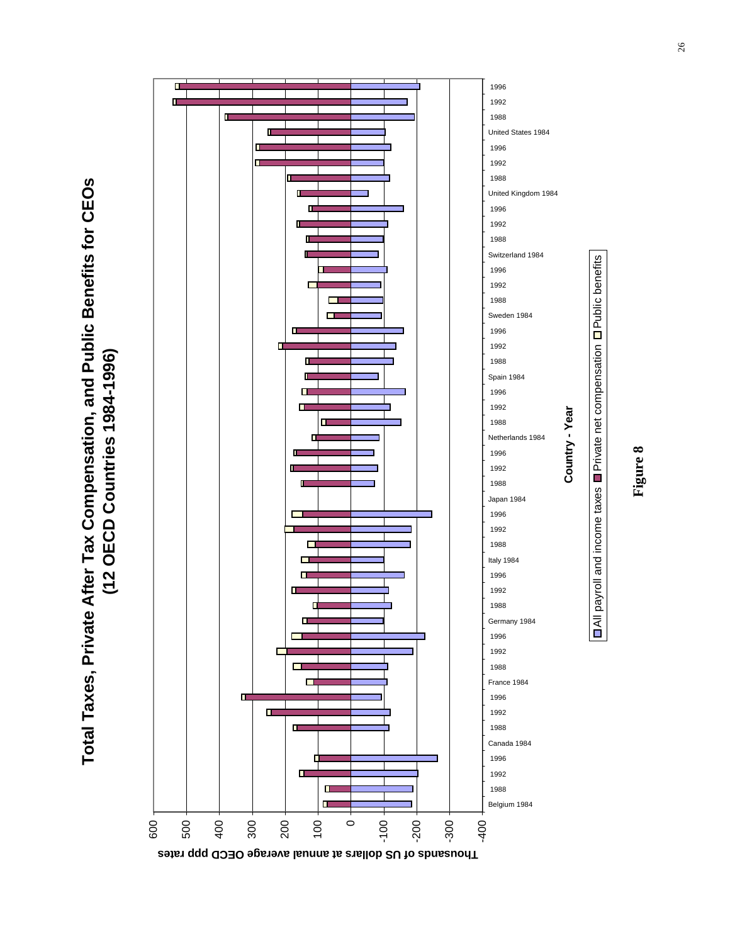Total Taxes, Private After Tax Compensation, and Public Benefits for CEOs **Total Taxes, Private After Tax Compensation, and Public Benefits for CEOs** (12 OECD Countries 1984-1996) **(12 OECD Countries 1984-1996)**



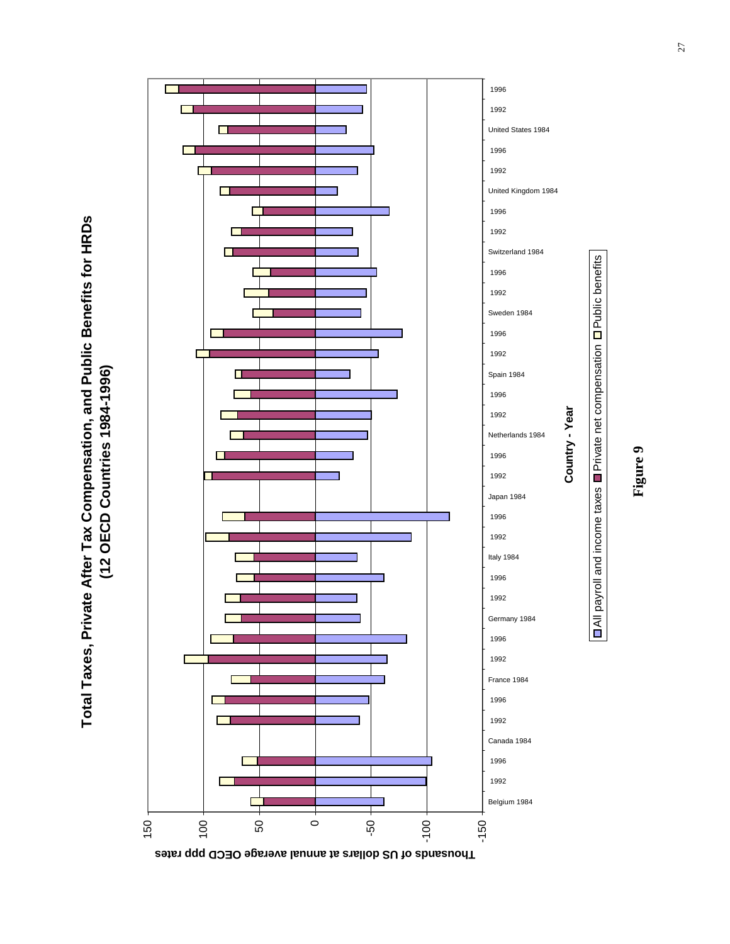Total Taxes, Private After Tax Compensation, and Public Benefits for HRDs **Total Taxes, Private After Tax Compensation, and Public Benefits for HRDs** (12 OECD Countries 1984-1996) **(12 OECD Countries 1984-1996)**



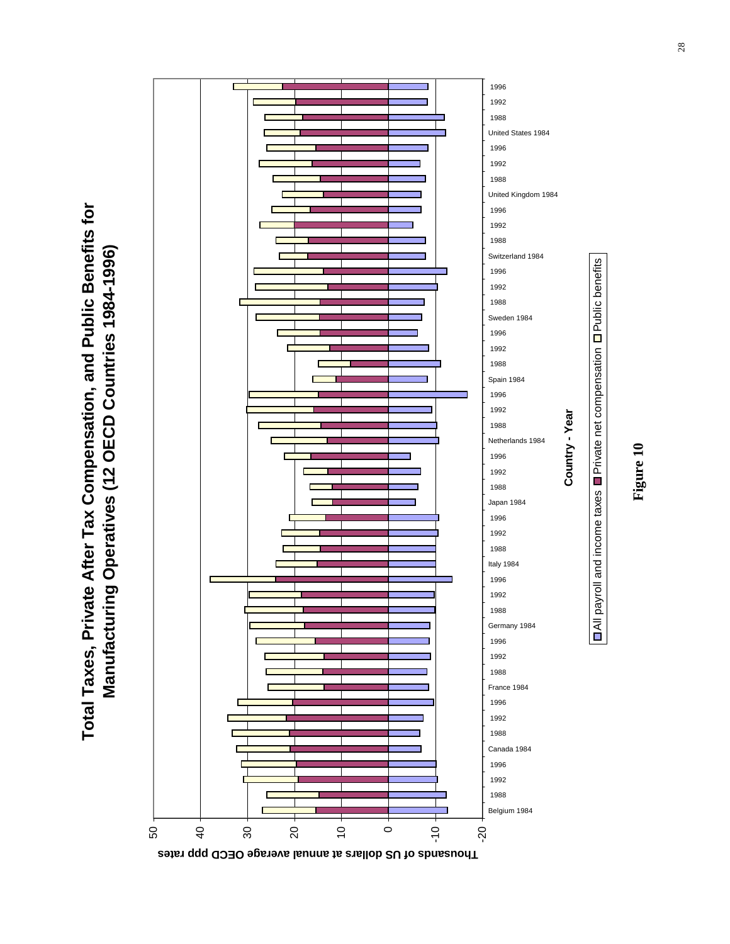**Total Taxes, Private After Tax Compensation, and Public Benefits for**  Total Taxes, Private After Tax Compensation, and Public Benefits for Manufacturing Operatives (12 OECD Countries 1984-1996) **Manufacturing Operatives (12 OECD Countries 1984-1996)**



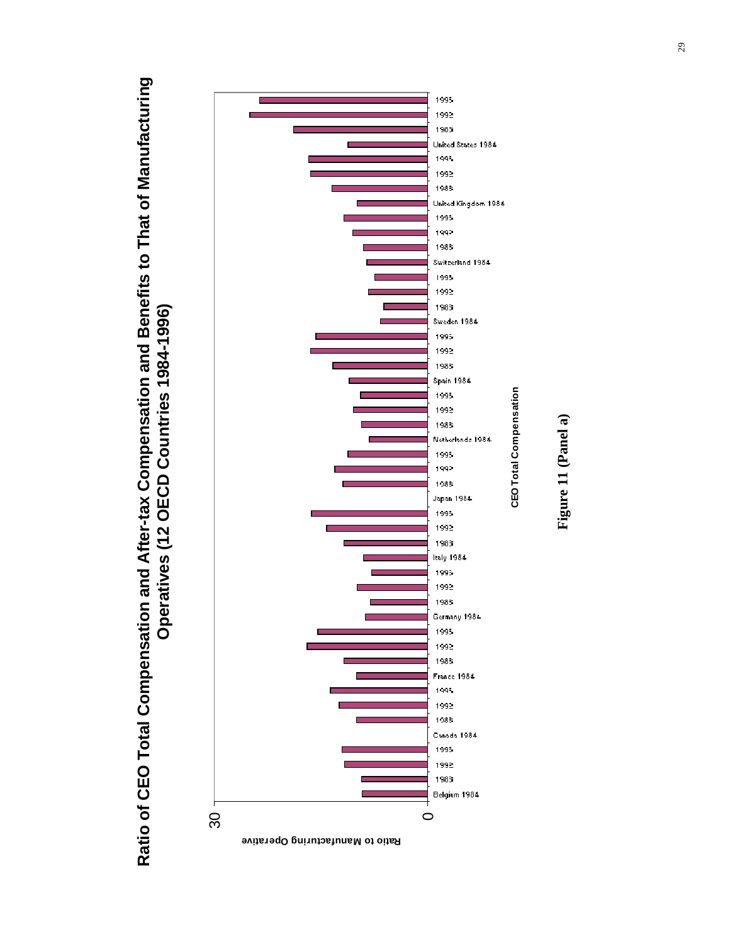Ratio of CEO Total Compensation and After-tax Compensation and Benefits to That of Manufacturing **Ratio of CEO Total Compensation and After-tax Compensation and Benefits to That of Manufacturing** Operatives (12 OECD Countries 1984-1996) **Operatives (12 OECD Countries 1984-1996)**



Figure 11 (Panel a) **Figure 11 (Panel a)**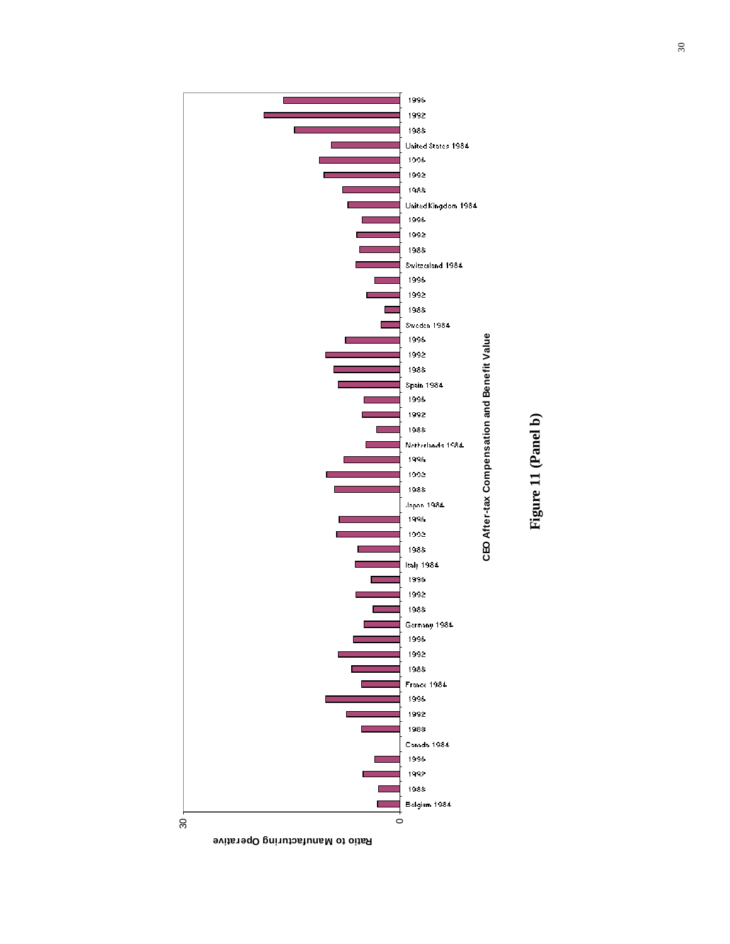

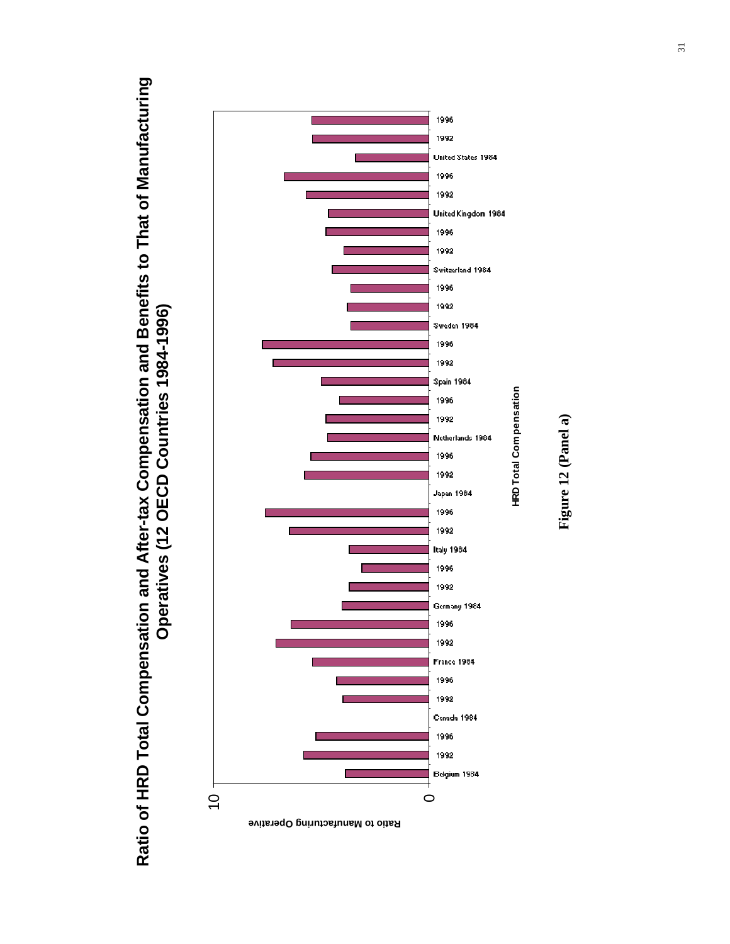Ratio of HRD Total Compensation and After-tax Compensation and Benefits to That of Manufacturing **Ratio of HRD Total Compensation and After-tax Compensation and Benefits to That of Manufacturing** Operatives (12 OECD Countries 1984-1996) **Operatives (12 OECD Countries 1984-1996)**